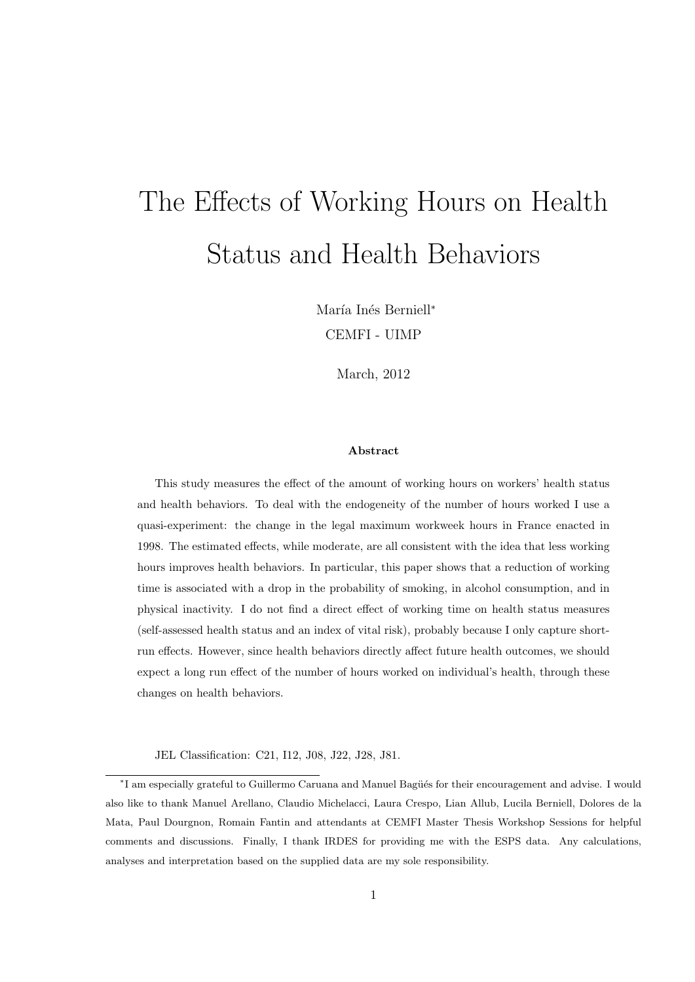# The Effects of Working Hours on Health Status and Health Behaviors

María Inés Berniell<sup>∗</sup> CEMFI - UIMP

March, 2012

#### Abstract

This study measures the effect of the amount of working hours on workers' health status and health behaviors. To deal with the endogeneity of the number of hours worked I use a quasi-experiment: the change in the legal maximum workweek hours in France enacted in 1998. The estimated effects, while moderate, are all consistent with the idea that less working hours improves health behaviors. In particular, this paper shows that a reduction of working time is associated with a drop in the probability of smoking, in alcohol consumption, and in physical inactivity. I do not find a direct effect of working time on health status measures (self-assessed health status and an index of vital risk), probably because I only capture shortrun effects. However, since health behaviors directly affect future health outcomes, we should expect a long run effect of the number of hours worked on individual's health, through these changes on health behaviors.

JEL Classification: C21, I12, J08, J22, J28, J81.

<sup>\*</sup>I am especially grateful to Guillermo Caruana and Manuel Bagüés for their encouragement and advise. I would also like to thank Manuel Arellano, Claudio Michelacci, Laura Crespo, Lian Allub, Lucila Berniell, Dolores de la Mata, Paul Dourgnon, Romain Fantin and attendants at CEMFI Master Thesis Workshop Sessions for helpful comments and discussions. Finally, I thank IRDES for providing me with the ESPS data. Any calculations, analyses and interpretation based on the supplied data are my sole responsibility.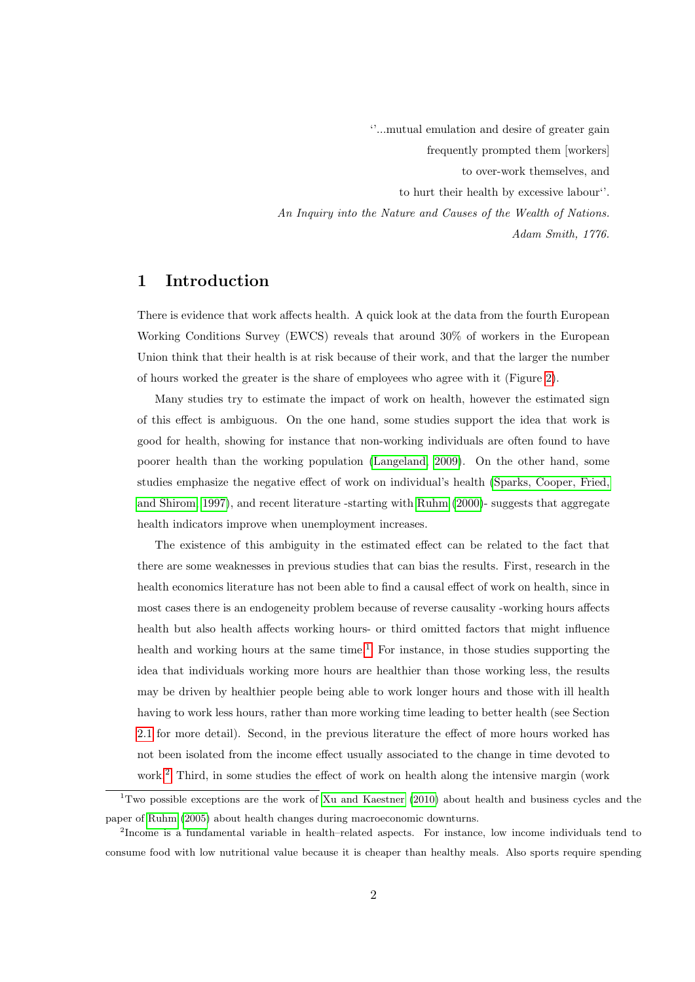''...mutual emulation and desire of greater gain frequently prompted them [workers] to over-work themselves, and to hurt their health by excessive labour''. An Inquiry into the Nature and Causes of the Wealth of Nations. Adam Smith, 1776.

## 1 Introduction

There is evidence that work affects health. A quick look at the data from the fourth European Working Conditions Survey (EWCS) reveals that around 30% of workers in the European Union think that their health is at risk because of their work, and that the larger the number of hours worked the greater is the share of employees who agree with it (Figure [2\)](#page-23-0).

Many studies try to estimate the impact of work on health, however the estimated sign of this effect is ambiguous. On the one hand, some studies support the idea that work is good for health, showing for instance that non-working individuals are often found to have poorer health than the working population [\(Langeland, 2009\)](#page-30-0). On the other hand, some studies emphasize the negative effect of work on individual's health [\(Sparks, Cooper, Fried,](#page-32-0) [and Shirom, 1997\)](#page-32-0), and recent literature -starting with [Ruhm](#page-31-0) [\(2000\)](#page-31-0)- suggests that aggregate health indicators improve when unemployment increases.

The existence of this ambiguity in the estimated effect can be related to the fact that there are some weaknesses in previous studies that can bias the results. First, research in the health economics literature has not been able to find a causal effect of work on health, since in most cases there is an endogeneity problem because of reverse causality -working hours affects health but also health affects working hours- or third omitted factors that might influence health and working hours at the same time.<sup>[1](#page-1-0)</sup> For instance, in those studies supporting the idea that individuals working more hours are healthier than those working less, the results may be driven by healthier people being able to work longer hours and those with ill health having to work less hours, rather than more working time leading to better health (see Section [2.1](#page-3-0) for more detail). Second, in the previous literature the effect of more hours worked has not been isolated from the income effect usually associated to the change in time devoted to work.<sup>[2](#page-1-1)</sup> Third, in some studies the effect of work on health along the intensive margin (work

<span id="page-1-0"></span><sup>&</sup>lt;sup>1</sup>Two possible exceptions are the work of [Xu and Kaestner](#page-32-1) [\(2010\)](#page-32-1) about health and business cycles and the paper of [Ruhm](#page-31-1) [\(2005\)](#page-31-1) about health changes during macroeconomic downturns.

<span id="page-1-1"></span><sup>&</sup>lt;sup>2</sup>Income is a fundamental variable in health–related aspects. For instance, low income individuals tend to consume food with low nutritional value because it is cheaper than healthy meals. Also sports require spending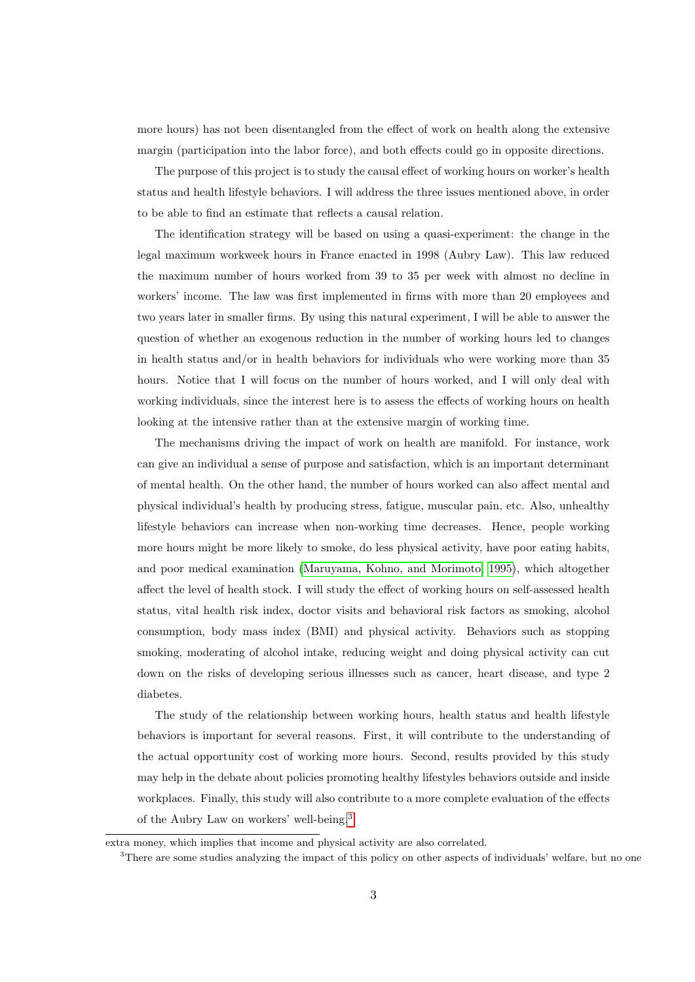more hours) has not been disentangled from the effect of work on health along the extensive margin (participation into the labor force), and both effects could go in opposite directions.

The purpose of this project is to study the causal effect of working hours on worker's health status and health lifestyle behaviors. I will address the three issues mentioned above, in order to be able to find an estimate that reflects a causal relation.

The identification strategy will be based on using a quasi-experiment: the change in the legal maximum workweek hours in France enacted in 1998 (Aubry Law). This law reduced the maximum number of hours worked from 39 to 35 per week with almost no decline in workers' income. The law was first implemented in firms with more than 20 employees and two years later in smaller firms. By using this natural experiment, I will be able to answer the question of whether an exogenous reduction in the number of working hours led to changes in health status and/or in health behaviors for individuals who were working more than 35 hours. Notice that I will focus on the number of hours worked, and I will only deal with working individuals, since the interest here is to assess the effects of working hours on health looking at the intensive rather than at the extensive margin of working time.

The mechanisms driving the impact of work on health are manifold. For instance, work can give an individual a sense of purpose and satisfaction, which is an important determinant of mental health. On the other hand, the number of hours worked can also affect mental and physical individual's health by producing stress, fatigue, muscular pain, etc. Also, unhealthy lifestyle behaviors can increase when non-working time decreases. Hence, people working more hours might be more likely to smoke, do less physical activity, have poor eating habits, and poor medical examination [\(Maruyama, Kohno, and Morimoto, 1995\)](#page-31-2), which altogether affect the level of health stock. I will study the effect of working hours on self-assessed health status, vital health risk index, doctor visits and behavioral risk factors as smoking, alcohol consumption, body mass index (BMI) and physical activity. Behaviors such as stopping smoking, moderating of alcohol intake, reducing weight and doing physical activity can cut down on the risks of developing serious illnesses such as cancer, heart disease, and type 2 diabetes.

The study of the relationship between working hours, health status and health lifestyle behaviors is important for several reasons. First, it will contribute to the understanding of the actual opportunity cost of working more hours. Second, results provided by this study may help in the debate about policies promoting healthy lifestyles behaviors outside and inside workplaces. Finally, this study will also contribute to a more complete evaluation of the effects of the Aubry Law on workers' well-being.[3](#page-2-0)

extra money, which implies that income and physical activity are also correlated.

<span id="page-2-0"></span><sup>&</sup>lt;sup>3</sup>There are some studies analyzing the impact of this policy on other aspects of individuals' welfare, but no one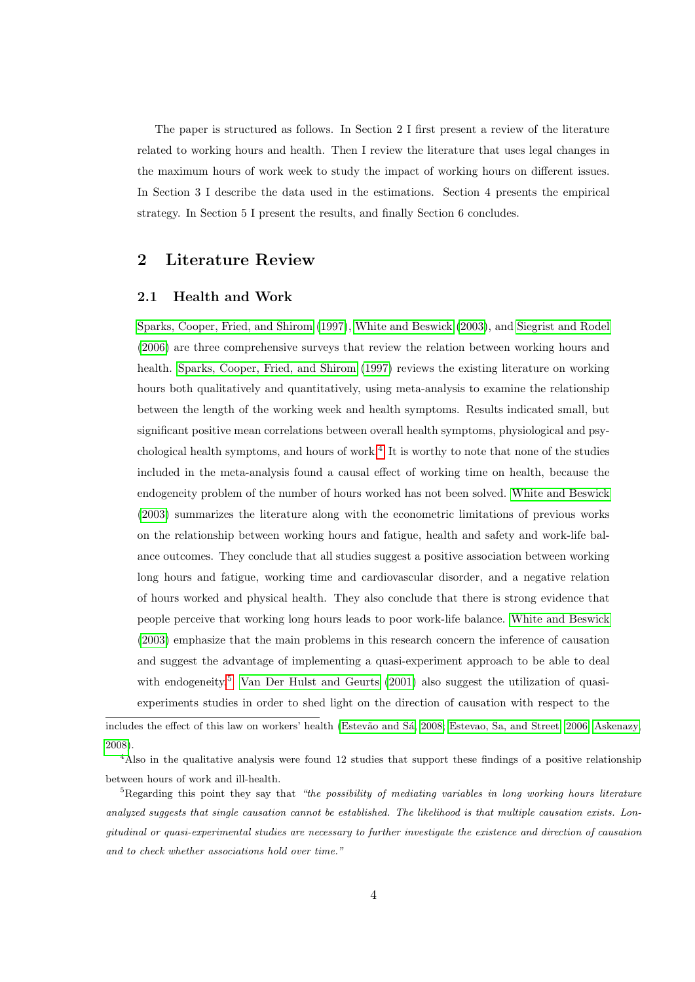The paper is structured as follows. In Section 2 I first present a review of the literature related to working hours and health. Then I review the literature that uses legal changes in the maximum hours of work week to study the impact of working hours on different issues. In Section 3 I describe the data used in the estimations. Section 4 presents the empirical strategy. In Section 5 I present the results, and finally Section 6 concludes.

## 2 Literature Review

#### <span id="page-3-0"></span>2.1 Health and Work

[Sparks, Cooper, Fried, and Shirom](#page-32-0) [\(1997\)](#page-32-0), [White and Beswick](#page-32-2) [\(2003\)](#page-32-2), and [Siegrist and Rodel](#page-32-3) [\(2006\)](#page-32-3) are three comprehensive surveys that review the relation between working hours and health. [Sparks, Cooper, Fried, and Shirom](#page-32-0) [\(1997\)](#page-32-0) reviews the existing literature on working hours both qualitatively and quantitatively, using meta-analysis to examine the relationship between the length of the working week and health symptoms. Results indicated small, but significant positive mean correlations between overall health symptoms, physiological and psy-chological health symptoms, and hours of work.<sup>[4](#page-3-1)</sup> It is worthy to note that none of the studies included in the meta-analysis found a causal effect of working time on health, because the endogeneity problem of the number of hours worked has not been solved. [White and Beswick](#page-32-2) [\(2003\)](#page-32-2) summarizes the literature along with the econometric limitations of previous works on the relationship between working hours and fatigue, health and safety and work-life balance outcomes. They conclude that all studies suggest a positive association between working long hours and fatigue, working time and cardiovascular disorder, and a negative relation of hours worked and physical health. They also conclude that there is strong evidence that people perceive that working long hours leads to poor work-life balance. [White and Beswick](#page-32-2) [\(2003\)](#page-32-2) emphasize that the main problems in this research concern the inference of causation and suggest the advantage of implementing a quasi-experiment approach to be able to deal with endogeneity.<sup>[5](#page-3-2)</sup> [Van Der Hulst and Geurts](#page-32-4) [\(2001\)](#page-32-4) also suggest the utilization of quasiexperiments studies in order to shed light on the direction of causation with respect to the

includes the effect of this law on workers' health (Estevão and Sá, 2008; [Estevao, Sa, and Street, 2006;](#page-30-1) [Askenazy,](#page-29-1) [2008\)](#page-29-1).

<span id="page-3-1"></span><sup>&</sup>lt;sup>4</sup>Also in the qualitative analysis were found 12 studies that support these findings of a positive relationship between hours of work and ill-health.

<span id="page-3-2"></span> $5R$ egarding this point they say that "the possibility of mediating variables in long working hours literature analyzed suggests that single causation cannot be established. The likelihood is that multiple causation exists. Longitudinal or quasi-experimental studies are necessary to further investigate the existence and direction of causation and to check whether associations hold over time."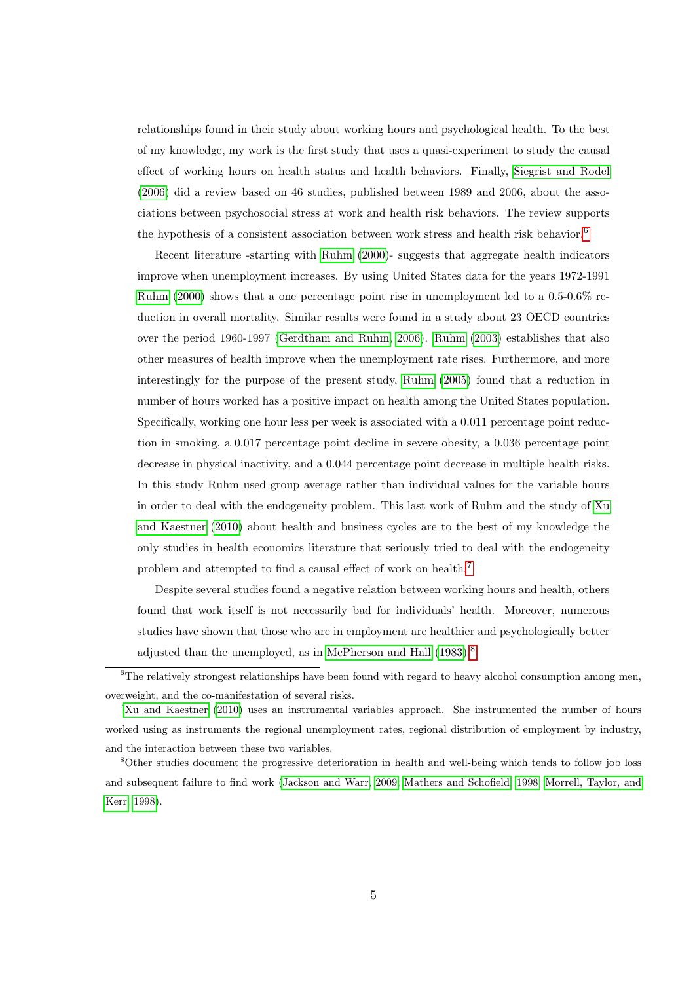relationships found in their study about working hours and psychological health. To the best of my knowledge, my work is the first study that uses a quasi-experiment to study the causal effect of working hours on health status and health behaviors. Finally, [Siegrist and Rodel](#page-32-3) [\(2006\)](#page-32-3) did a review based on 46 studies, published between 1989 and 2006, about the associations between psychosocial stress at work and health risk behaviors. The review supports the hypothesis of a consistent association between work stress and health risk behavior.<sup>[6](#page-4-0)</sup>

Recent literature -starting with [Ruhm](#page-31-0) [\(2000\)](#page-31-0)- suggests that aggregate health indicators improve when unemployment increases. By using United States data for the years 1972-1991 [Ruhm](#page-31-0) [\(2000\)](#page-31-0) shows that a one percentage point rise in unemployment led to a 0.5-0.6% reduction in overall mortality. Similar results were found in a study about 23 OECD countries over the period 1960-1997 [\(Gerdtham and Ruhm, 2006\)](#page-30-2). [Ruhm](#page-31-3) [\(2003\)](#page-31-3) establishes that also other measures of health improve when the unemployment rate rises. Furthermore, and more interestingly for the purpose of the present study, [Ruhm](#page-31-1) [\(2005\)](#page-31-1) found that a reduction in number of hours worked has a positive impact on health among the United States population. Specifically, working one hour less per week is associated with a 0.011 percentage point reduction in smoking, a 0.017 percentage point decline in severe obesity, a 0.036 percentage point decrease in physical inactivity, and a 0.044 percentage point decrease in multiple health risks. In this study Ruhm used group average rather than individual values for the variable hours in order to deal with the endogeneity problem. This last work of Ruhm and the study of [Xu](#page-32-1) [and Kaestner](#page-32-1) [\(2010\)](#page-32-1) about health and business cycles are to the best of my knowledge the only studies in health economics literature that seriously tried to deal with the endogeneity problem and attempted to find a causal effect of work on health.[7](#page-4-1)

Despite several studies found a negative relation between working hours and health, others found that work itself is not necessarily bad for individuals' health. Moreover, numerous studies have shown that those who are in employment are healthier and psychologically better adjusted than the unemployed, as in [McPherson and Hall](#page-31-4) [\(1983\)](#page-31-4).<sup>[8](#page-4-2)</sup>

<span id="page-4-0"></span> ${}^{6}$ The relatively strongest relationships have been found with regard to heavy alcohol consumption among men, overweight, and the co-manifestation of several risks.

<span id="page-4-1"></span> $7Xu$  and Kaestner [\(2010\)](#page-32-1) uses an instrumental variables approach. She instrumented the number of hours worked using as instruments the regional unemployment rates, regional distribution of employment by industry, and the interaction between these two variables.

<span id="page-4-2"></span><sup>8</sup>Other studies document the progressive deterioration in health and well-being which tends to follow job loss and subsequent failure to find work [\(Jackson and Warr, 2009;](#page-30-3) [Mathers and Schofield, 1998;](#page-31-5) [Morrell, Taylor, and](#page-31-6) [Kerr, 1998\)](#page-31-6).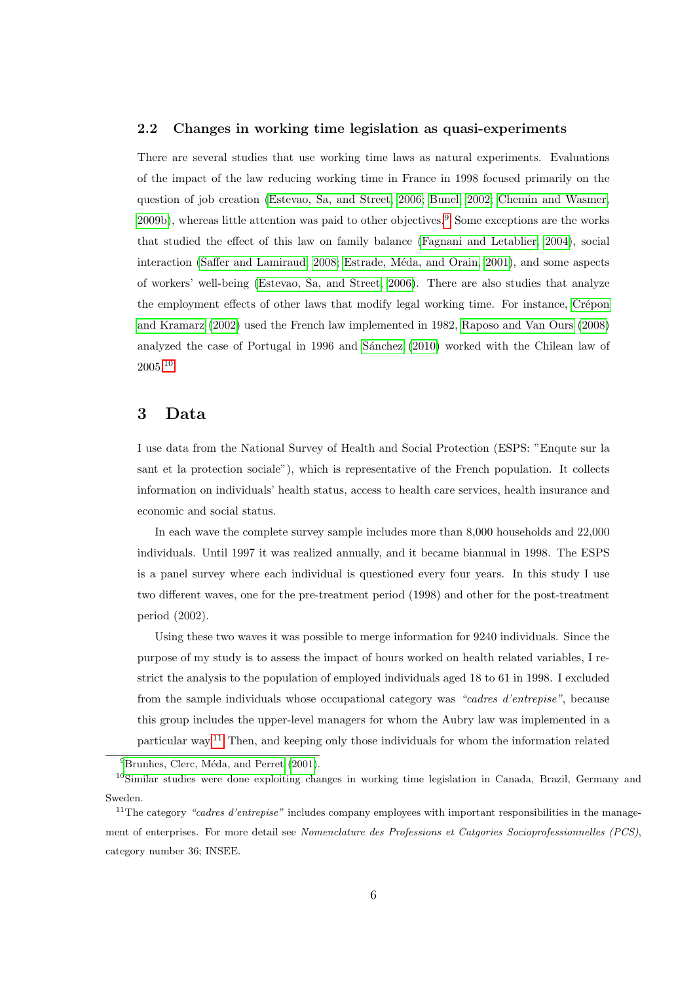#### 2.2 Changes in working time legislation as quasi-experiments

There are several studies that use working time laws as natural experiments. Evaluations of the impact of the law reducing working time in France in 1998 focused primarily on the question of job creation [\(Estevao, Sa, and Street, 2006;](#page-30-1) [Bunel, 2002;](#page-29-2) [Chemin and Wasmer,](#page-29-3) [2009b\)](#page-29-3), whereas little attention was paid to other objectives.<sup>[9](#page-5-0)</sup> Some exceptions are the works that studied the effect of this law on family balance [\(Fagnani and Letablier, 2004\)](#page-30-4), social interaction [\(Saffer and Lamiraud, 2008;](#page-31-7) Estrade, Méda, and Orain, 2001), and some aspects of workers' well-being [\(Estevao, Sa, and Street, 2006\)](#page-30-1). There are also studies that analyze the employment effects of other laws that modify legal working time. For instance, Crépon [and Kramarz](#page-29-4) [\(2002\)](#page-29-4) used the French law implemented in 1982, [Raposo and Van Ours](#page-31-8) [\(2008\)](#page-31-8) analyzed the case of Portugal in 1996 and Sánchez [\(2010\)](#page-32-5) worked with the Chilean law of 2005.[10](#page-5-1)

## <span id="page-5-3"></span>3 Data

I use data from the National Survey of Health and Social Protection (ESPS: "Enqute sur la sant et la protection sociale"), which is representative of the French population. It collects information on individuals' health status, access to health care services, health insurance and economic and social status.

In each wave the complete survey sample includes more than 8,000 households and 22,000 individuals. Until 1997 it was realized annually, and it became biannual in 1998. The ESPS is a panel survey where each individual is questioned every four years. In this study I use two different waves, one for the pre-treatment period (1998) and other for the post-treatment period (2002).

Using these two waves it was possible to merge information for 9240 individuals. Since the purpose of my study is to assess the impact of hours worked on health related variables, I restrict the analysis to the population of employed individuals aged 18 to 61 in 1998. I excluded from the sample individuals whose occupational category was "cadres d'entrepise", because this group includes the upper-level managers for whom the Aubry law was implemented in a particular way.[11](#page-5-2) Then, and keeping only those individuals for whom the information related

<span id="page-5-1"></span><span id="page-5-0"></span> $^{9}$ Brunhes, Clerc, Méda, and Perret [\(2001\)](#page-29-5).

<sup>10</sup>Similar studies were done exploiting changes in working time legislation in Canada, Brazil, Germany and Sweden.

<span id="page-5-2"></span> $11$ The category "cadres d'entrepise" includes company employees with important responsibilities in the management of enterprises. For more detail see Nomenclature des Professions et Catgories Socioprofessionnelles (PCS), category number 36; INSEE.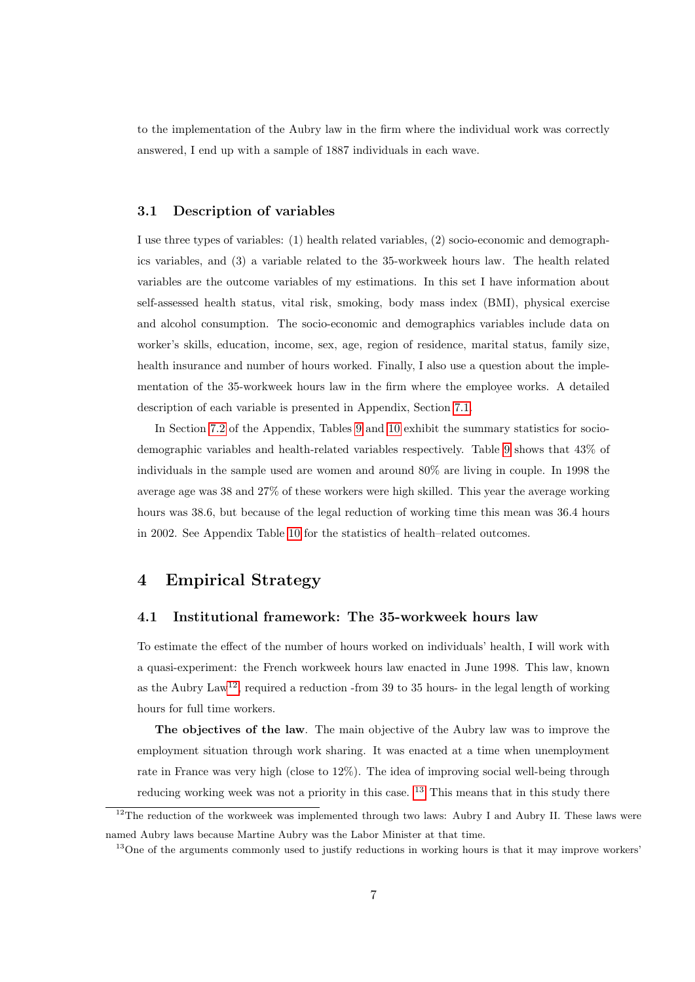to the implementation of the Aubry law in the firm where the individual work was correctly answered, I end up with a sample of 1887 individuals in each wave.

#### <span id="page-6-3"></span>3.1 Description of variables

I use three types of variables: (1) health related variables, (2) socio-economic and demographics variables, and (3) a variable related to the 35-workweek hours law. The health related variables are the outcome variables of my estimations. In this set I have information about self-assessed health status, vital risk, smoking, body mass index (BMI), physical exercise and alcohol consumption. The socio-economic and demographics variables include data on worker's skills, education, income, sex, age, region of residence, marital status, family size, health insurance and number of hours worked. Finally, I also use a question about the implementation of the 35-workweek hours law in the firm where the employee works. A detailed description of each variable is presented in Appendix, Section [7.1.](#page-23-1)

In Section [7.2](#page-26-0) of the Appendix, Tables [9](#page-26-1) and [10](#page-26-2) exhibit the summary statistics for sociodemographic variables and health-related variables respectively. Table [9](#page-26-1) shows that 43% of individuals in the sample used are women and around 80% are living in couple. In 1998 the average age was 38 and 27% of these workers were high skilled. This year the average working hours was 38.6, but because of the legal reduction of working time this mean was 36.4 hours in 2002. See Appendix Table [10](#page-26-2) for the statistics of health–related outcomes.

## <span id="page-6-2"></span>4 Empirical Strategy

#### 4.1 Institutional framework: The 35-workweek hours law

To estimate the effect of the number of hours worked on individuals' health, I will work with a quasi-experiment: the French workweek hours law enacted in June 1998. This law, known as the Aubry  $Law^{12}$  $Law^{12}$  $Law^{12}$ , required a reduction -from 39 to 35 hours- in the legal length of working hours for full time workers.

The objectives of the law. The main objective of the Aubry law was to improve the employment situation through work sharing. It was enacted at a time when unemployment rate in France was very high (close to 12%). The idea of improving social well-being through reducing working week was not a priority in this case. <sup>[13](#page-6-1)</sup> This means that in this study there

<span id="page-6-0"></span><sup>&</sup>lt;sup>12</sup>The reduction of the workweek was implemented through two laws: Aubry I and Aubry II. These laws were named Aubry laws because Martine Aubry was the Labor Minister at that time.

<span id="page-6-1"></span><sup>&</sup>lt;sup>13</sup>One of the arguments commonly used to justify reductions in working hours is that it may improve workers'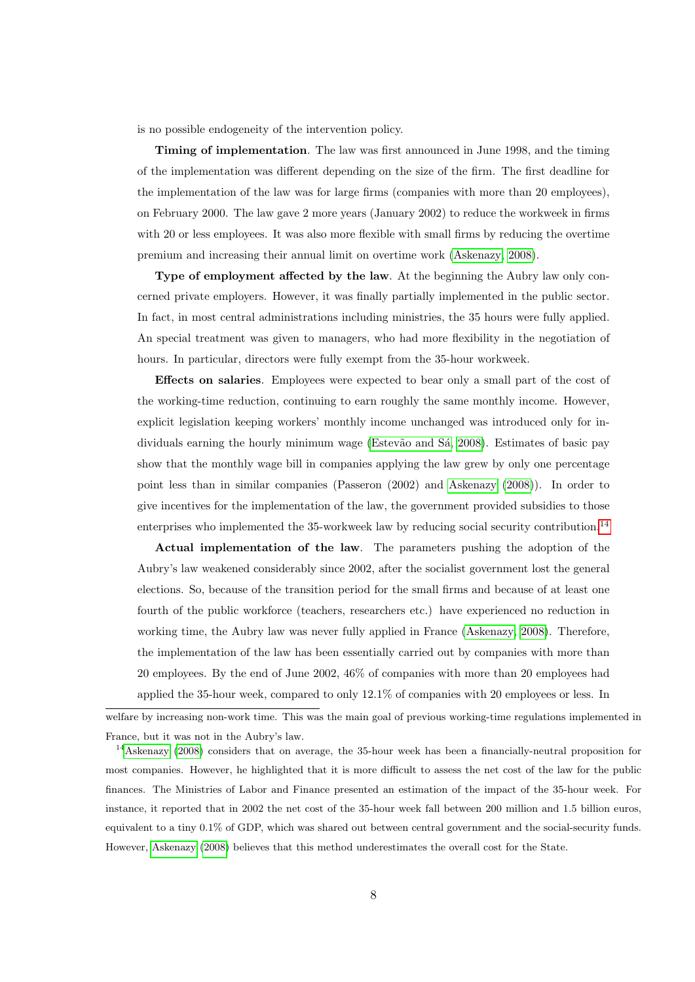is no possible endogeneity of the intervention policy.

Timing of implementation. The law was first announced in June 1998, and the timing of the implementation was different depending on the size of the firm. The first deadline for the implementation of the law was for large firms (companies with more than 20 employees), on February 2000. The law gave 2 more years (January 2002) to reduce the workweek in firms with 20 or less employees. It was also more flexible with small firms by reducing the overtime premium and increasing their annual limit on overtime work [\(Askenazy, 2008\)](#page-29-1).

Type of employment affected by the law. At the beginning the Aubry law only concerned private employers. However, it was finally partially implemented in the public sector. In fact, in most central administrations including ministries, the 35 hours were fully applied. An special treatment was given to managers, who had more flexibility in the negotiation of hours. In particular, directors were fully exempt from the 35-hour workweek.

Effects on salaries. Employees were expected to bear only a small part of the cost of the working-time reduction, continuing to earn roughly the same monthly income. However, explicit legislation keeping workers' monthly income unchanged was introduced only for individuals earning the hourly minimum wage (Estevão and Sá, 2008). Estimates of basic pay show that the monthly wage bill in companies applying the law grew by only one percentage point less than in similar companies (Passeron (2002) and [Askenazy](#page-29-1) [\(2008\)](#page-29-1)). In order to give incentives for the implementation of the law, the government provided subsidies to those enterprises who implemented the 35-workweek law by reducing social security contribution.<sup>[14](#page-7-0)</sup>

Actual implementation of the law. The parameters pushing the adoption of the Aubry's law weakened considerably since 2002, after the socialist government lost the general elections. So, because of the transition period for the small firms and because of at least one fourth of the public workforce (teachers, researchers etc.) have experienced no reduction in working time, the Aubry law was never fully applied in France [\(Askenazy, 2008\)](#page-29-1). Therefore, the implementation of the law has been essentially carried out by companies with more than 20 employees. By the end of June 2002, 46% of companies with more than 20 employees had applied the 35-hour week, compared to only 12.1% of companies with 20 employees or less. In

welfare by increasing non-work time. This was the main goal of previous working-time regulations implemented in France, but it was not in the Aubry's law.

<span id="page-7-0"></span><sup>14</sup>[Askenazy](#page-29-1) [\(2008\)](#page-29-1) considers that on average, the 35-hour week has been a financially-neutral proposition for most companies. However, he highlighted that it is more difficult to assess the net cost of the law for the public finances. The Ministries of Labor and Finance presented an estimation of the impact of the 35-hour week. For instance, it reported that in 2002 the net cost of the 35-hour week fall between 200 million and 1.5 billion euros, equivalent to a tiny 0.1% of GDP, which was shared out between central government and the social-security funds. However, [Askenazy](#page-29-1) [\(2008\)](#page-29-1) believes that this method underestimates the overall cost for the State.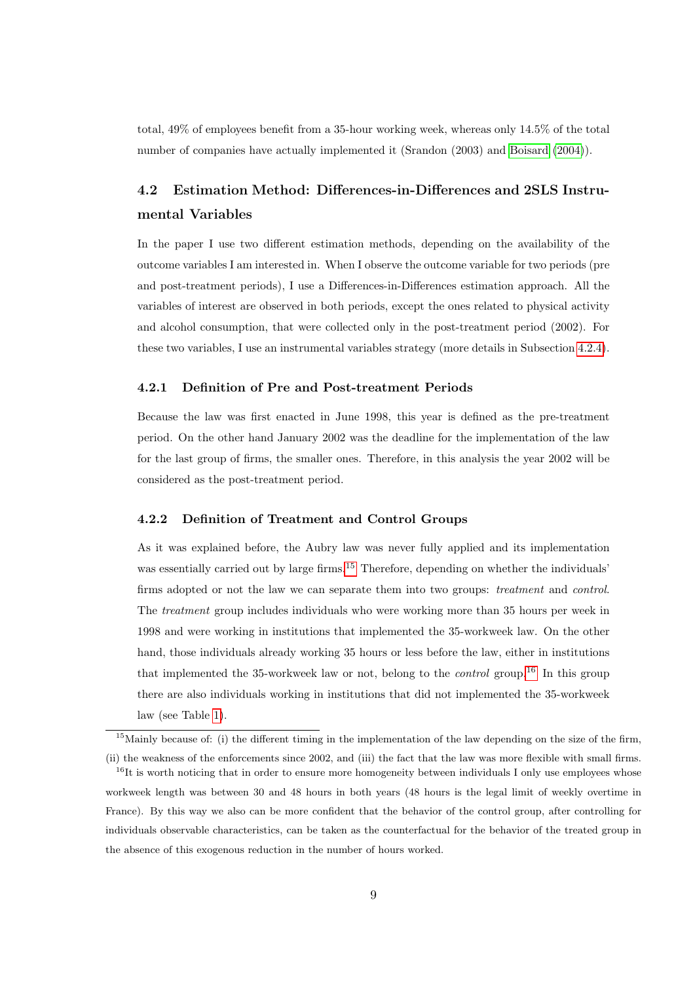total, 49% of employees benefit from a 35-hour working week, whereas only 14.5% of the total number of companies have actually implemented it (Srandon (2003) and [Boisard](#page-29-6) [\(2004\)](#page-29-6)).

# <span id="page-8-2"></span>4.2 Estimation Method: Differences-in-Differences and 2SLS Instrumental Variables

In the paper I use two different estimation methods, depending on the availability of the outcome variables I am interested in. When I observe the outcome variable for two periods (pre and post-treatment periods), I use a Differences-in-Differences estimation approach. All the variables of interest are observed in both periods, except the ones related to physical activity and alcohol consumption, that were collected only in the post-treatment period (2002). For these two variables, I use an instrumental variables strategy (more details in Subsection [4.2.4\)](#page-10-0).

#### 4.2.1 Definition of Pre and Post-treatment Periods

Because the law was first enacted in June 1998, this year is defined as the pre-treatment period. On the other hand January 2002 was the deadline for the implementation of the law for the last group of firms, the smaller ones. Therefore, in this analysis the year 2002 will be considered as the post-treatment period.

#### 4.2.2 Definition of Treatment and Control Groups

As it was explained before, the Aubry law was never fully applied and its implementation was essentially carried out by large firms.<sup>[15](#page-8-0)</sup> Therefore, depending on whether the individuals' firms adopted or not the law we can separate them into two groups: treatment and control. The treatment group includes individuals who were working more than 35 hours per week in 1998 and were working in institutions that implemented the 35-workweek law. On the other hand, those individuals already working 35 hours or less before the law, either in institutions that implemented the 35-workweek law or not, belong to the *control* group.<sup>[16](#page-8-1)</sup> In this group there are also individuals working in institutions that did not implemented the 35-workweek law (see Table [1\)](#page-9-0).

<span id="page-8-0"></span> $15$ Mainly because of: (i) the different timing in the implementation of the law depending on the size of the firm,

<span id="page-8-1"></span><sup>(</sup>ii) the weakness of the enforcements since 2002, and (iii) the fact that the law was more flexible with small firms.  $16$ It is worth noticing that in order to ensure more homogeneity between individuals I only use employees whose workweek length was between 30 and 48 hours in both years (48 hours is the legal limit of weekly overtime in France). By this way we also can be more confident that the behavior of the control group, after controlling for individuals observable characteristics, can be taken as the counterfactual for the behavior of the treated group in the absence of this exogenous reduction in the number of hours worked.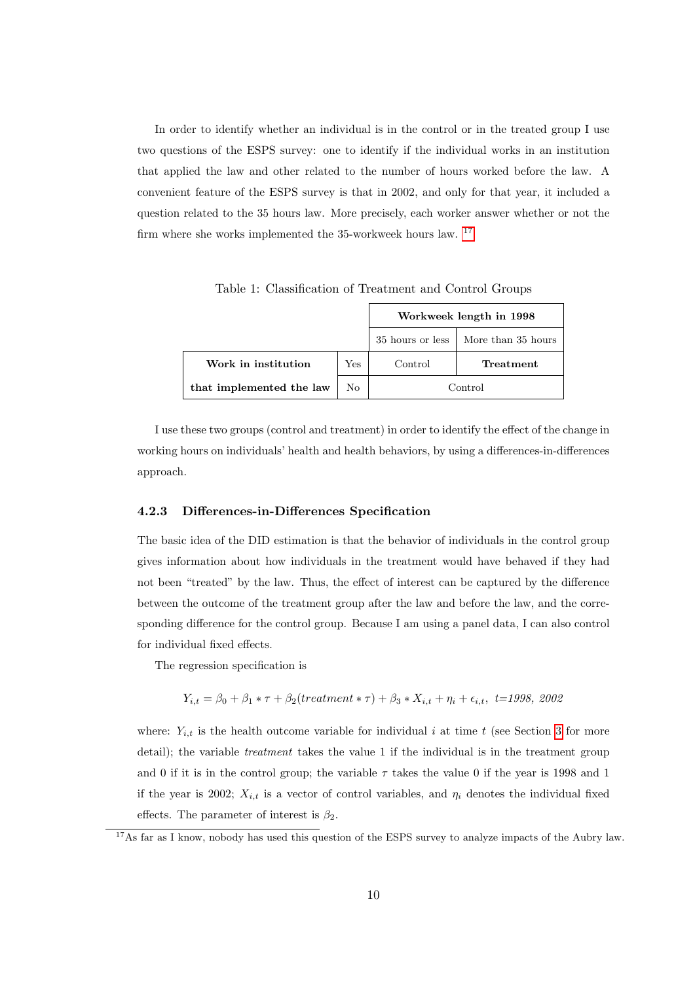In order to identify whether an individual is in the control or in the treated group I use two questions of the ESPS survey: one to identify if the individual works in an institution that applied the law and other related to the number of hours worked before the law. A convenient feature of the ESPS survey is that in 2002, and only for that year, it included a question related to the 35 hours law. More precisely, each worker answer whether or not the firm where she works implemented the 35-workweek hours law. [17](#page-9-1)

|                          |              | Workweek length in 1998 |                                       |  |
|--------------------------|--------------|-------------------------|---------------------------------------|--|
|                          |              |                         | 35 hours or less   More than 35 hours |  |
| Work in institution      | $_{\rm Yes}$ | Control                 | <b>Treatment</b>                      |  |
| that implemented the law | No           | Control                 |                                       |  |

<span id="page-9-0"></span>Table 1: Classification of Treatment and Control Groups

I use these two groups (control and treatment) in order to identify the effect of the change in working hours on individuals' health and health behaviors, by using a differences-in-differences approach.

#### 4.2.3 Differences-in-Differences Specification

The basic idea of the DID estimation is that the behavior of individuals in the control group gives information about how individuals in the treatment would have behaved if they had not been "treated" by the law. Thus, the effect of interest can be captured by the difference between the outcome of the treatment group after the law and before the law, and the corresponding difference for the control group. Because I am using a panel data, I can also control for individual fixed effects.

The regression specification is

$$
Y_{i,t} = \beta_0 + \beta_1 * \tau + \beta_2(treatment * \tau) + \beta_3 * X_{i,t} + \eta_i + \epsilon_{i,t}, \ t = 1998, \ 2002
$$

where:  $Y_{i,t}$  is the health outcome variable for individual i at time t (see Section [3](#page-5-3) for more detail); the variable *treatment* takes the value 1 if the individual is in the treatment group and 0 if it is in the control group; the variable  $\tau$  takes the value 0 if the year is 1998 and 1 if the year is 2002;  $X_{i,t}$  is a vector of control variables, and  $\eta_i$  denotes the individual fixed effects. The parameter of interest is  $\beta_2$ .

<span id="page-9-1"></span><sup>&</sup>lt;sup>17</sup>As far as I know, nobody has used this question of the ESPS survey to analyze impacts of the Aubry law.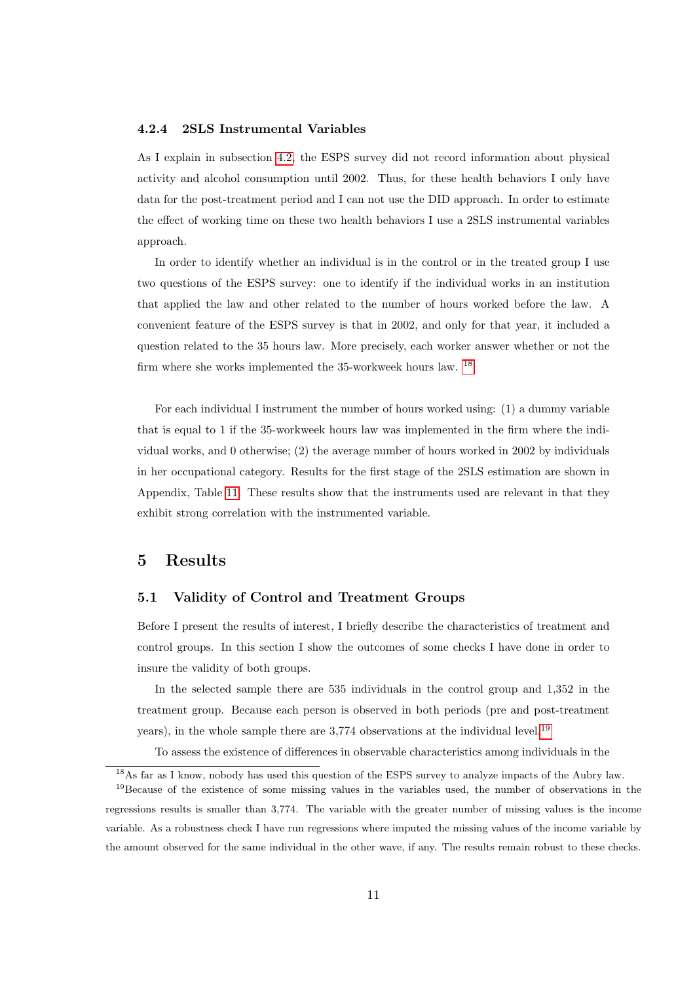#### <span id="page-10-0"></span>4.2.4 2SLS Instrumental Variables

As I explain in subsection [4.2,](#page-8-2) the ESPS survey did not record information about physical activity and alcohol consumption until 2002. Thus, for these health behaviors I only have data for the post-treatment period and I can not use the DID approach. In order to estimate the effect of working time on these two health behaviors I use a 2SLS instrumental variables approach.

In order to identify whether an individual is in the control or in the treated group I use two questions of the ESPS survey: one to identify if the individual works in an institution that applied the law and other related to the number of hours worked before the law. A convenient feature of the ESPS survey is that in 2002, and only for that year, it included a question related to the 35 hours law. More precisely, each worker answer whether or not the firm where she works implemented the 35-workweek hours law. [18](#page-10-1)

For each individual I instrument the number of hours worked using: (1) a dummy variable that is equal to 1 if the 35-workweek hours law was implemented in the firm where the individual works, and 0 otherwise; (2) the average number of hours worked in 2002 by individuals in her occupational category. Results for the first stage of the 2SLS estimation are shown in Appendix, Table [11.](#page-27-0) These results show that the instruments used are relevant in that they exhibit strong correlation with the instrumented variable.

## 5 Results

## 5.1 Validity of Control and Treatment Groups

Before I present the results of interest, I briefly describe the characteristics of treatment and control groups. In this section I show the outcomes of some checks I have done in order to insure the validity of both groups.

In the selected sample there are 535 individuals in the control group and 1,352 in the treatment group. Because each person is observed in both periods (pre and post-treatment years), in the whole sample there are 3,774 observations at the individual level.<sup>[19](#page-10-2)</sup>

To assess the existence of differences in observable characteristics among individuals in the

<span id="page-10-2"></span><span id="page-10-1"></span><sup>18</sup>As far as I know, nobody has used this question of the ESPS survey to analyze impacts of the Aubry law. <sup>19</sup>Because of the existence of some missing values in the variables used, the number of observations in the regressions results is smaller than 3,774. The variable with the greater number of missing values is the income variable. As a robustness check I have run regressions where imputed the missing values of the income variable by the amount observed for the same individual in the other wave, if any. The results remain robust to these checks.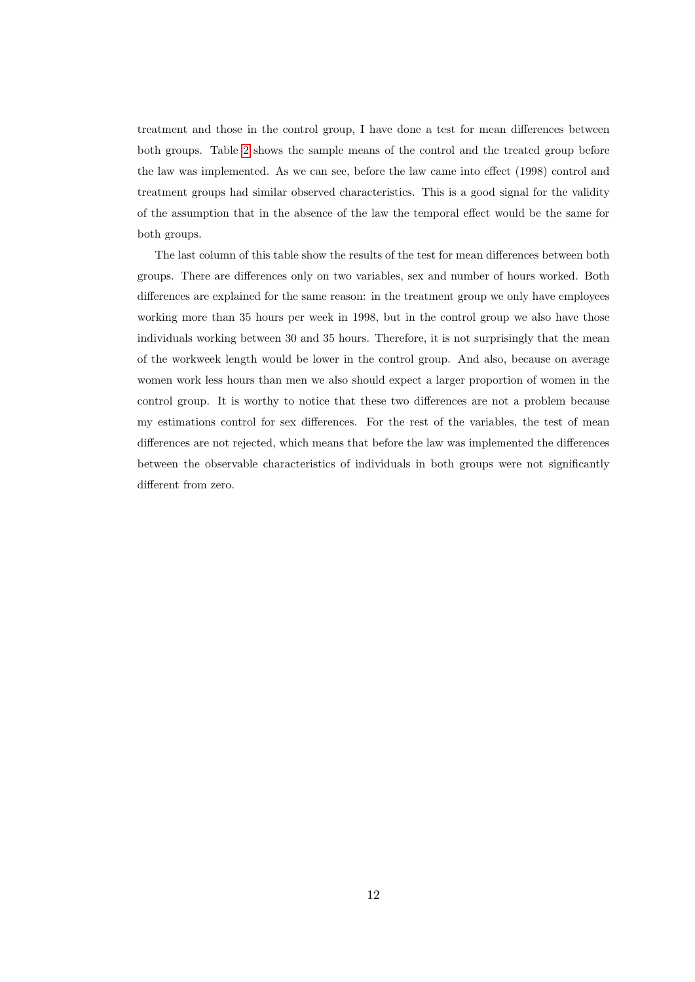treatment and those in the control group, I have done a test for mean differences between both groups. Table [2](#page-12-0) shows the sample means of the control and the treated group before the law was implemented. As we can see, before the law came into effect (1998) control and treatment groups had similar observed characteristics. This is a good signal for the validity of the assumption that in the absence of the law the temporal effect would be the same for both groups.

The last column of this table show the results of the test for mean differences between both groups. There are differences only on two variables, sex and number of hours worked. Both differences are explained for the same reason: in the treatment group we only have employees working more than 35 hours per week in 1998, but in the control group we also have those individuals working between 30 and 35 hours. Therefore, it is not surprisingly that the mean of the workweek length would be lower in the control group. And also, because on average women work less hours than men we also should expect a larger proportion of women in the control group. It is worthy to notice that these two differences are not a problem because my estimations control for sex differences. For the rest of the variables, the test of mean differences are not rejected, which means that before the law was implemented the differences between the observable characteristics of individuals in both groups were not significantly different from zero.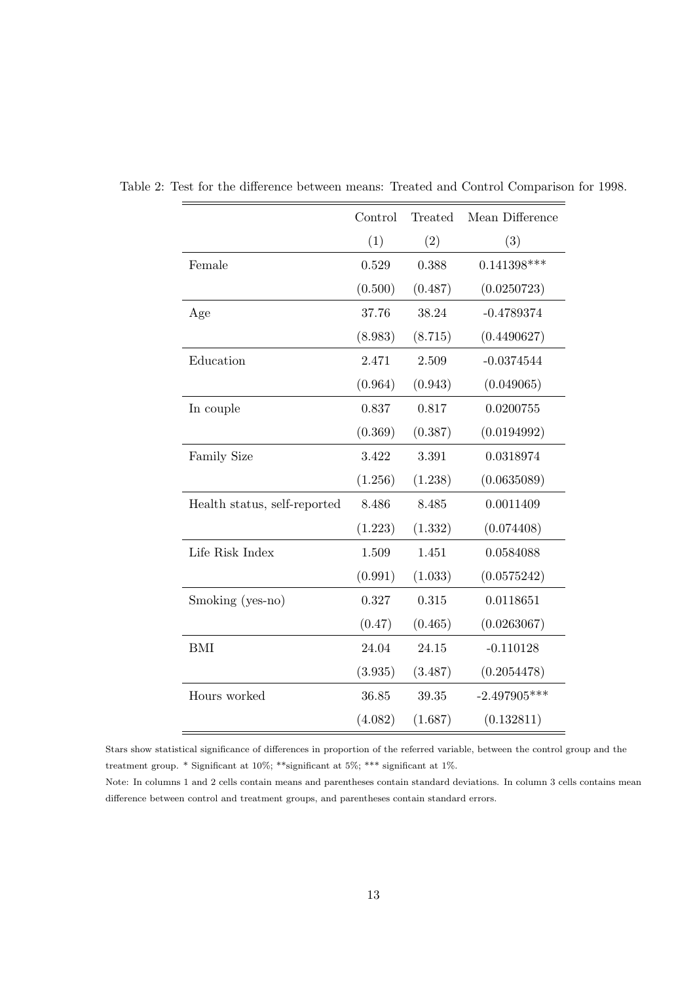<span id="page-12-0"></span>

|                              | Control | Treated | Mean Difference |
|------------------------------|---------|---------|-----------------|
|                              | (1)     | (2)     | (3)             |
| Female                       | 0.529   | 0.388   | $0.141398***$   |
|                              | (0.500) | (0.487) | (0.0250723)     |
| Age                          | 37.76   | 38.24   | $-0.4789374$    |
|                              | (8.983) | (8.715) | (0.4490627)     |
| Education                    | 2.471   | 2.509   | $-0.0374544$    |
|                              | (0.964) | (0.943) | (0.049065)      |
| In couple                    | 0.837   | 0.817   | 0.0200755       |
|                              | (0.369) | (0.387) | (0.0194992)     |
| <b>Family Size</b>           | 3.422   | 3.391   | 0.0318974       |
|                              | (1.256) | (1.238) | (0.0635089)     |
| Health status, self-reported | 8.486   | 8.485   | 0.0011409       |
|                              | (1.223) | (1.332) | (0.074408)      |
| Life Risk Index              | 1.509   | 1.451   | 0.0584088       |
|                              | (0.991) | (1.033) | (0.0575242)     |
| Smoking (yes-no)             | 0.327   | 0.315   | 0.0118651       |
|                              | (0.47)  | (0.465) | (0.0263067)     |
| <b>BMI</b>                   | 24.04   | 24.15   | $-0.110128$     |
|                              | (3.935) | (3.487) | (0.2054478)     |
| Hours worked                 | 36.85   | 39.35   | $-2.497905***$  |
|                              | (4.082) | (1.687) | (0.132811)      |

Table 2: Test for the difference between means: Treated and Control Comparison for 1998.

Stars show statistical significance of differences in proportion of the referred variable, between the control group and the treatment group. \* Significant at 10%; \*\*significant at 5%; \*\*\* significant at 1%.

Note: In columns 1 and 2 cells contain means and parentheses contain standard deviations. In column 3 cells contains mean difference between control and treatment groups, and parentheses contain standard errors.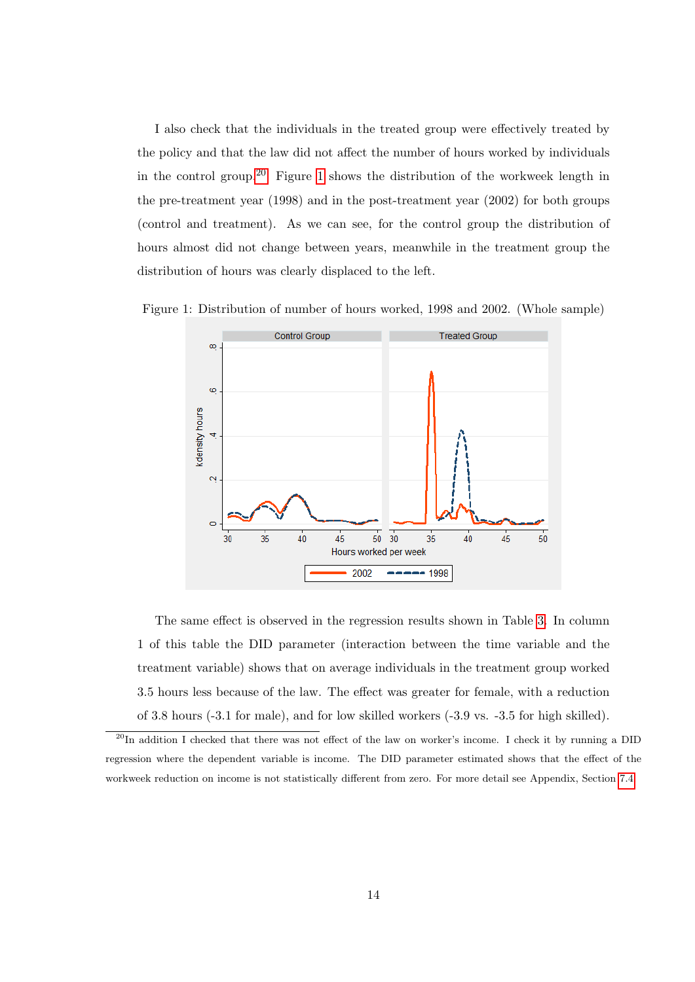I also check that the individuals in the treated group were effectively treated by the policy and that the law did not affect the number of hours worked by individuals in the control group.<sup>[20](#page-13-0)</sup> Figure [1](#page-13-1) shows the distribution of the workweek length in the pre-treatment year (1998) and in the post-treatment year (2002) for both groups (control and treatment). As we can see, for the control group the distribution of hours almost did not change between years, meanwhile in the treatment group the distribution of hours was clearly displaced to the left.

Figure 1: Distribution of number of hours worked, 1998 and 2002. (Whole sample)

<span id="page-13-1"></span>

The same effect is observed in the regression results shown in Table [3.](#page-14-0) In column 1 of this table the DID parameter (interaction between the time variable and the treatment variable) shows that on average individuals in the treatment group worked 3.5 hours less because of the law. The effect was greater for female, with a reduction of 3.8 hours (-3.1 for male), and for low skilled workers (-3.9 vs. -3.5 for high skilled).

<span id="page-13-0"></span><sup>&</sup>lt;sup>20</sup>In addition I checked that there was not effect of the law on worker's income. I check it by running a DID regression where the dependent variable is income. The DID parameter estimated shows that the effect of the workweek reduction on income is not statistically different from zero. For more detail see Appendix, Section [7.4.](#page-28-0)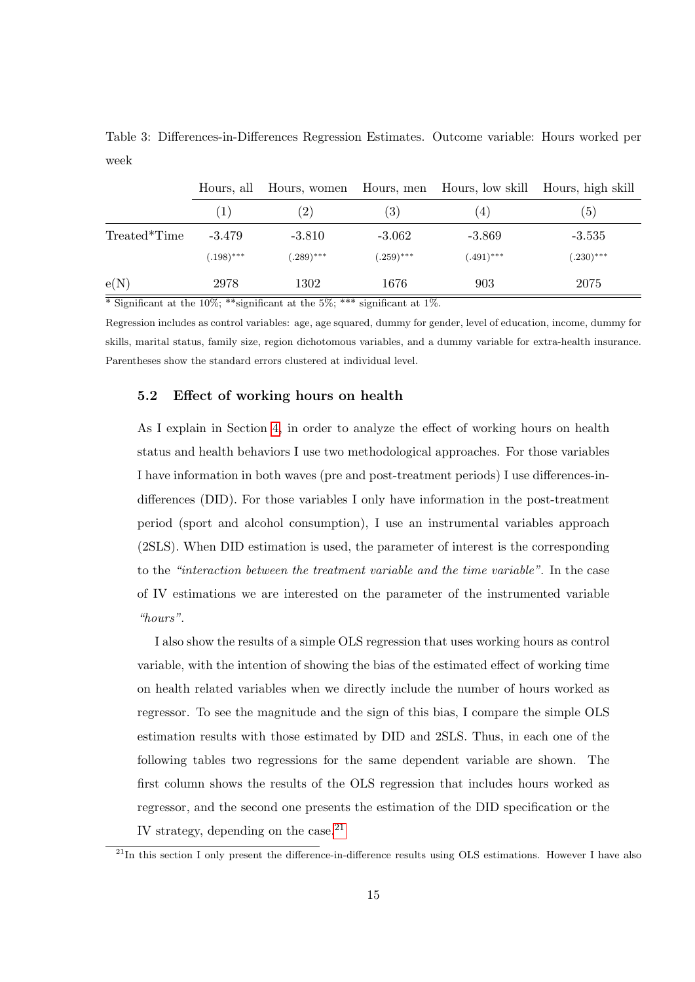<span id="page-14-0"></span>Table 3: Differences-in-Differences Regression Estimates. Outcome variable: Hours worked per week

|              | Hours, all        |                   |                   | Hours, women Hours, men Hours, low skill Hours, high skill |              |
|--------------|-------------------|-------------------|-------------------|------------------------------------------------------------|--------------|
|              | $\left( 1\right)$ | $\left( 2\right)$ | $\left( 3\right)$ | $\left(4\right)$                                           | (5)          |
| Treated*Time | $-3.479$          | $-3.810$          | $-3.062$          | $-3.869$                                                   | $-3.535$     |
|              | $(.198)$ ***      | $(.289)$ ***      | $(.259)$ ***      | $(.491)$ ***                                               | $(.230)$ *** |
| e(N)         | 2978              | 1302              | 1676              | 903                                                        | 2075         |

 $\overline{\text{``Significant at the 10\%}}$ ; \*\*significant at the 5%; \*\*\* significant at 1%.

Regression includes as control variables: age, age squared, dummy for gender, level of education, income, dummy for skills, marital status, family size, region dichotomous variables, and a dummy variable for extra-health insurance. Parentheses show the standard errors clustered at individual level.

#### 5.2 Effect of working hours on health

As I explain in Section [4,](#page-6-2) in order to analyze the effect of working hours on health status and health behaviors I use two methodological approaches. For those variables I have information in both waves (pre and post-treatment periods) I use differences-indifferences (DID). For those variables I only have information in the post-treatment period (sport and alcohol consumption), I use an instrumental variables approach (2SLS). When DID estimation is used, the parameter of interest is the corresponding to the "interaction between the treatment variable and the time variable". In the case of IV estimations we are interested on the parameter of the instrumented variable "hours".

I also show the results of a simple OLS regression that uses working hours as control variable, with the intention of showing the bias of the estimated effect of working time on health related variables when we directly include the number of hours worked as regressor. To see the magnitude and the sign of this bias, I compare the simple OLS estimation results with those estimated by DID and 2SLS. Thus, in each one of the following tables two regressions for the same dependent variable are shown. The first column shows the results of the OLS regression that includes hours worked as regressor, and the second one presents the estimation of the DID specification or the IV strategy, depending on the case. $^{21}$  $^{21}$  $^{21}$ 

<span id="page-14-1"></span> $21$ In this section I only present the difference-in-difference results using OLS estimations. However I have also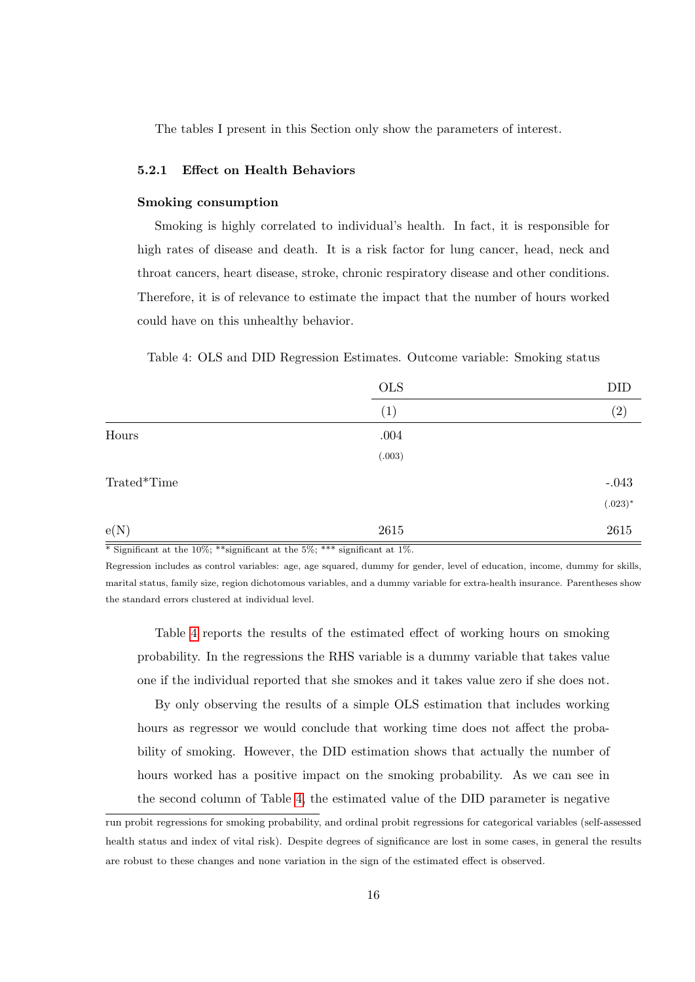The tables I present in this Section only show the parameters of interest.

#### 5.2.1 Effect on Health Behaviors

#### Smoking consumption

Smoking is highly correlated to individual's health. In fact, it is responsible for high rates of disease and death. It is a risk factor for lung cancer, head, neck and throat cancers, heart disease, stroke, chronic respiratory disease and other conditions. Therefore, it is of relevance to estimate the impact that the number of hours worked could have on this unhealthy behavior.

<span id="page-15-0"></span>Table 4: OLS and DID Regression Estimates. Outcome variable: Smoking status

|             | <b>OLS</b> | DID        |
|-------------|------------|------------|
|             | (1)        | (2)        |
| Hours       | $.004\,$   |            |
|             | (.003)     |            |
| Trated*Time |            | $-.043$    |
|             |            | $(.023)^*$ |
| e(N)        | 2615       | 2615       |

 $*$  Significant at the 10%; \*\* significant at the 5%; \*\*\* significant at 1%.

Regression includes as control variables: age, age squared, dummy for gender, level of education, income, dummy for skills, marital status, family size, region dichotomous variables, and a dummy variable for extra-health insurance. Parentheses show the standard errors clustered at individual level.

Table [4](#page-15-0) reports the results of the estimated effect of working hours on smoking probability. In the regressions the RHS variable is a dummy variable that takes value one if the individual reported that she smokes and it takes value zero if she does not.

By only observing the results of a simple OLS estimation that includes working hours as regressor we would conclude that working time does not affect the probability of smoking. However, the DID estimation shows that actually the number of hours worked has a positive impact on the smoking probability. As we can see in the second column of Table [4,](#page-15-0) the estimated value of the DID parameter is negative

run probit regressions for smoking probability, and ordinal probit regressions for categorical variables (self-assessed health status and index of vital risk). Despite degrees of significance are lost in some cases, in general the results are robust to these changes and none variation in the sign of the estimated effect is observed.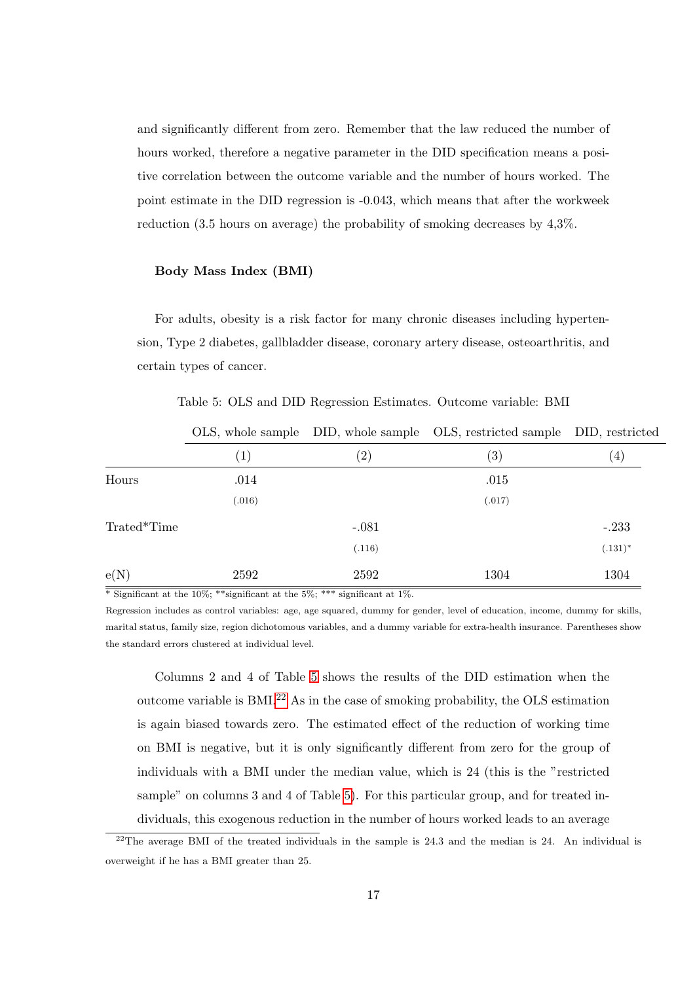and significantly different from zero. Remember that the law reduced the number of hours worked, therefore a negative parameter in the DID specification means a positive correlation between the outcome variable and the number of hours worked. The point estimate in the DID regression is -0.043, which means that after the workweek reduction (3.5 hours on average) the probability of smoking decreases by 4,3%.

#### Body Mass Index (BMI)

For adults, obesity is a risk factor for many chronic diseases including hypertension, Type 2 diabetes, gallbladder disease, coronary artery disease, osteoarthritis, and certain types of cancer.

|             |                   |                   | OLS, whole sample DID, whole sample OLS, restricted sample DID, restricted |                  |
|-------------|-------------------|-------------------|----------------------------------------------------------------------------|------------------|
|             | $\left( 1\right)$ | $\left( 2\right)$ | $\left( 3\right)$                                                          | $\left(4\right)$ |
| Hours       | .014              |                   | .015                                                                       |                  |
|             | (.016)            |                   | (.017)                                                                     |                  |
| Trated*Time |                   | $-.081$           |                                                                            | $-.233$          |
|             |                   | (.116)            |                                                                            | $(.131)^*$       |
| e(N)        | 2592              | 2592              | 1304                                                                       | 1304             |

<span id="page-16-0"></span>Table 5: OLS and DID Regression Estimates. Outcome variable: BMI

 $*$  Significant at the 10%; \*\*significant at the 5%; \*\*\* significant at 1%.

Regression includes as control variables: age, age squared, dummy for gender, level of education, income, dummy for skills, marital status, family size, region dichotomous variables, and a dummy variable for extra-health insurance. Parentheses show the standard errors clustered at individual level.

Columns 2 and 4 of Table [5](#page-16-0) shows the results of the DID estimation when the outcome variable is  $BMI<sup>22</sup>$  $BMI<sup>22</sup>$  $BMI<sup>22</sup>$  As in the case of smoking probability, the OLS estimation is again biased towards zero. The estimated effect of the reduction of working time on BMI is negative, but it is only significantly different from zero for the group of individuals with a BMI under the median value, which is 24 (this is the "restricted sample" on columns 3 and 4 of Table [5\)](#page-16-0). For this particular group, and for treated individuals, this exogenous reduction in the number of hours worked leads to an average

<span id="page-16-1"></span> $^{22}$ The average BMI of the treated individuals in the sample is 24.3 and the median is 24. An individual is overweight if he has a BMI greater than 25.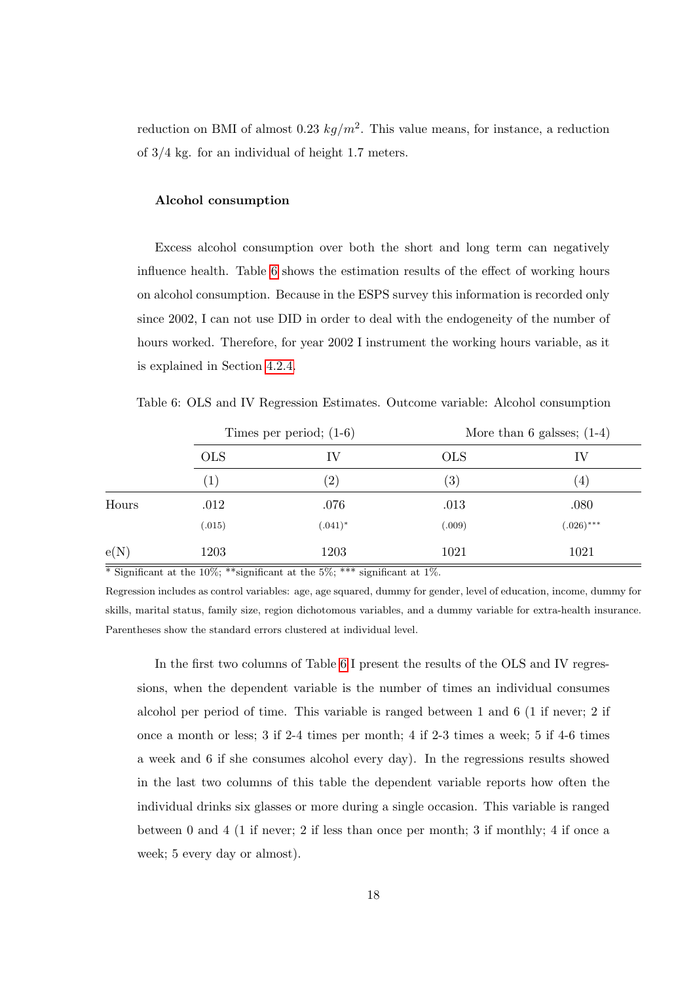reduction on BMI of almost 0.23  $kg/m^2$ . This value means, for instance, a reduction of 3/4 kg. for an individual of height 1.7 meters.

#### Alcohol consumption

Excess alcohol consumption over both the short and long term can negatively influence health. Table [6](#page-17-0) shows the estimation results of the effect of working hours on alcohol consumption. Because in the ESPS survey this information is recorded only since 2002, I can not use DID in order to deal with the endogeneity of the number of hours worked. Therefore, for year 2002 I instrument the working hours variable, as it is explained in Section [4.2.4.](#page-10-0)

<span id="page-17-0"></span>Table 6: OLS and IV Regression Estimates. Outcome variable: Alcohol consumption

|            | Times per period; $(1-6)$ |                   | More than 6 galsses; $(1-4)$ |                   |  |
|------------|---------------------------|-------------------|------------------------------|-------------------|--|
|            | <b>OLS</b>                | ΙV                | <b>OLS</b>                   | IV                |  |
|            | (1)                       | $\left( 2\right)$ | (3)                          | $\left( 4\right)$ |  |
| Hours      | .012                      | .076              | .013                         | .080              |  |
|            | (.015)                    | $(.041)^*$        | (.009)                       | $(.026)$ ***      |  |
| $\rm e(N)$ | 1203                      | 1203              | 1021                         | 1021              |  |

 $\overline{\text{``Significant at the 10\%}}$ ; \*\*significant at the 5%; \*\*\* significant at 1%.

Regression includes as control variables: age, age squared, dummy for gender, level of education, income, dummy for skills, marital status, family size, region dichotomous variables, and a dummy variable for extra-health insurance. Parentheses show the standard errors clustered at individual level.

In the first two columns of Table [6](#page-17-0) I present the results of the OLS and IV regressions, when the dependent variable is the number of times an individual consumes alcohol per period of time. This variable is ranged between 1 and 6 (1 if never; 2 if once a month or less; 3 if 2-4 times per month; 4 if 2-3 times a week; 5 if 4-6 times a week and 6 if she consumes alcohol every day). In the regressions results showed in the last two columns of this table the dependent variable reports how often the individual drinks six glasses or more during a single occasion. This variable is ranged between 0 and 4 (1 if never; 2 if less than once per month; 3 if monthly; 4 if once a week; 5 every day or almost).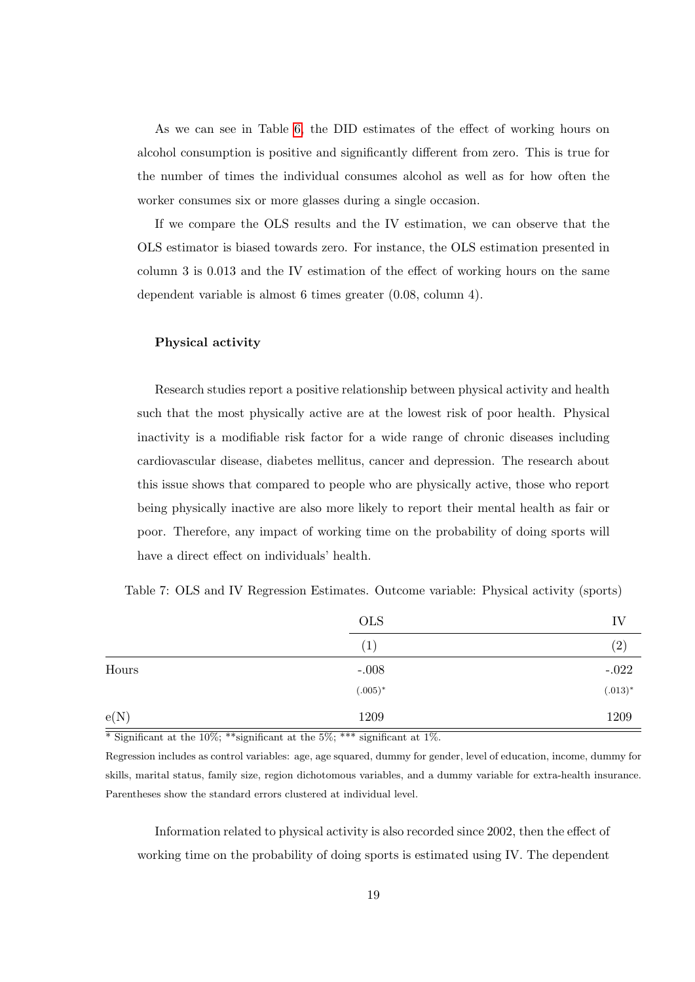As we can see in Table [6,](#page-17-0) the DID estimates of the effect of working hours on alcohol consumption is positive and significantly different from zero. This is true for the number of times the individual consumes alcohol as well as for how often the worker consumes six or more glasses during a single occasion.

If we compare the OLS results and the IV estimation, we can observe that the OLS estimator is biased towards zero. For instance, the OLS estimation presented in column 3 is 0.013 and the IV estimation of the effect of working hours on the same dependent variable is almost 6 times greater (0.08, column 4).

#### Physical activity

Research studies report a positive relationship between physical activity and health such that the most physically active are at the lowest risk of poor health. Physical inactivity is a modifiable risk factor for a wide range of chronic diseases including cardiovascular disease, diabetes mellitus, cancer and depression. The research about this issue shows that compared to people who are physically active, those who report being physically inactive are also more likely to report their mental health as fair or poor. Therefore, any impact of working time on the probability of doing sports will have a direct effect on individuals' health.

<span id="page-18-0"></span>

| Table 7: OLS and IV Regression Estimates. Outcome variable: Physical activity (sports) |  |  |  |  |
|----------------------------------------------------------------------------------------|--|--|--|--|
|----------------------------------------------------------------------------------------|--|--|--|--|

|       | <b>OLS</b>       | IV                |
|-------|------------------|-------------------|
|       | $\left(1\right)$ | $\left( 2\right)$ |
| Hours | $-.008$          | $-.022$           |
|       | $(.005)*$        | $(.013)*$         |
| e(N)  | 1209             | 1209              |

 $*$  Significant at the 10%; \*\*\* significant at the 5%; \*\*\* significant at 1%.

Regression includes as control variables: age, age squared, dummy for gender, level of education, income, dummy for skills, marital status, family size, region dichotomous variables, and a dummy variable for extra-health insurance. Parentheses show the standard errors clustered at individual level.

Information related to physical activity is also recorded since 2002, then the effect of working time on the probability of doing sports is estimated using IV. The dependent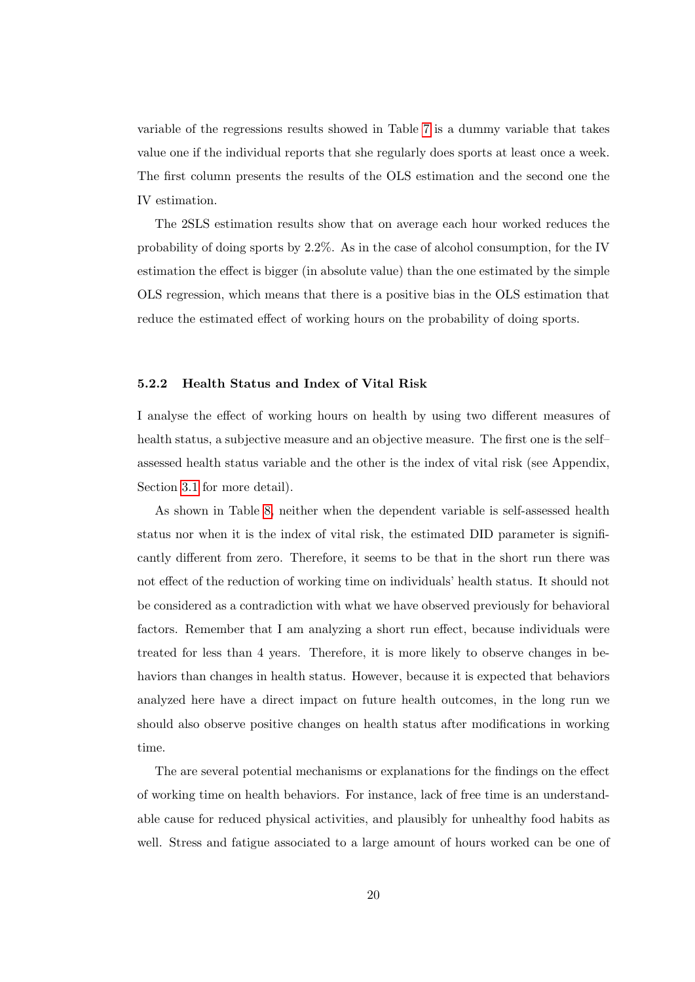variable of the regressions results showed in Table [7](#page-18-0) is a dummy variable that takes value one if the individual reports that she regularly does sports at least once a week. The first column presents the results of the OLS estimation and the second one the IV estimation.

The 2SLS estimation results show that on average each hour worked reduces the probability of doing sports by 2.2%. As in the case of alcohol consumption, for the IV estimation the effect is bigger (in absolute value) than the one estimated by the simple OLS regression, which means that there is a positive bias in the OLS estimation that reduce the estimated effect of working hours on the probability of doing sports.

#### 5.2.2 Health Status and Index of Vital Risk

I analyse the effect of working hours on health by using two different measures of health status, a subjective measure and an objective measure. The first one is the self– assessed health status variable and the other is the index of vital risk (see Appendix, Section [3.1](#page-6-3) for more detail).

As shown in Table [8,](#page-20-0) neither when the dependent variable is self-assessed health status nor when it is the index of vital risk, the estimated DID parameter is significantly different from zero. Therefore, it seems to be that in the short run there was not effect of the reduction of working time on individuals' health status. It should not be considered as a contradiction with what we have observed previously for behavioral factors. Remember that I am analyzing a short run effect, because individuals were treated for less than 4 years. Therefore, it is more likely to observe changes in behaviors than changes in health status. However, because it is expected that behaviors analyzed here have a direct impact on future health outcomes, in the long run we should also observe positive changes on health status after modifications in working time.

The are several potential mechanisms or explanations for the findings on the effect of working time on health behaviors. For instance, lack of free time is an understandable cause for reduced physical activities, and plausibly for unhealthy food habits as well. Stress and fatigue associated to a large amount of hours worked can be one of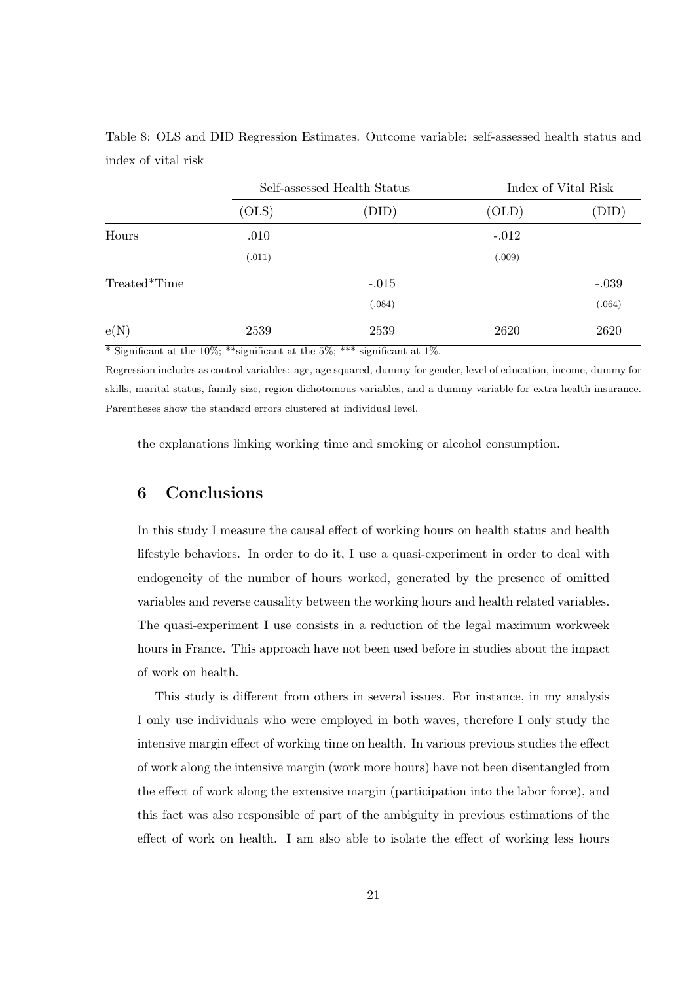<span id="page-20-0"></span>Table 8: OLS and DID Regression Estimates. Outcome variable: self-assessed health status and index of vital risk

|              | Self-assessed Health Status |         | Index of Vital Risk |         |
|--------------|-----------------------------|---------|---------------------|---------|
|              | (OLS)                       | (DID)   | (OLD)               | (DID)   |
| Hours        | .010                        |         | $-.012$             |         |
|              | (.011)                      |         | (.009)              |         |
| Treated*Time |                             | $-.015$ |                     | $-.039$ |
|              |                             | (.084)  |                     | (.064)  |
| e(N)         | 2539                        | 2539    | 2620                | 2620    |

 $\overline{\text{``Significant at the 10\%}}$ ; \*\*significant at the 5%; \*\*\* significant at 1%.

Regression includes as control variables: age, age squared, dummy for gender, level of education, income, dummy for skills, marital status, family size, region dichotomous variables, and a dummy variable for extra-health insurance. Parentheses show the standard errors clustered at individual level.

the explanations linking working time and smoking or alcohol consumption.

## 6 Conclusions

In this study I measure the causal effect of working hours on health status and health lifestyle behaviors. In order to do it, I use a quasi-experiment in order to deal with endogeneity of the number of hours worked, generated by the presence of omitted variables and reverse causality between the working hours and health related variables. The quasi-experiment I use consists in a reduction of the legal maximum workweek hours in France. This approach have not been used before in studies about the impact of work on health.

This study is different from others in several issues. For instance, in my analysis I only use individuals who were employed in both waves, therefore I only study the intensive margin effect of working time on health. In various previous studies the effect of work along the intensive margin (work more hours) have not been disentangled from the effect of work along the extensive margin (participation into the labor force), and this fact was also responsible of part of the ambiguity in previous estimations of the effect of work on health. I am also able to isolate the effect of working less hours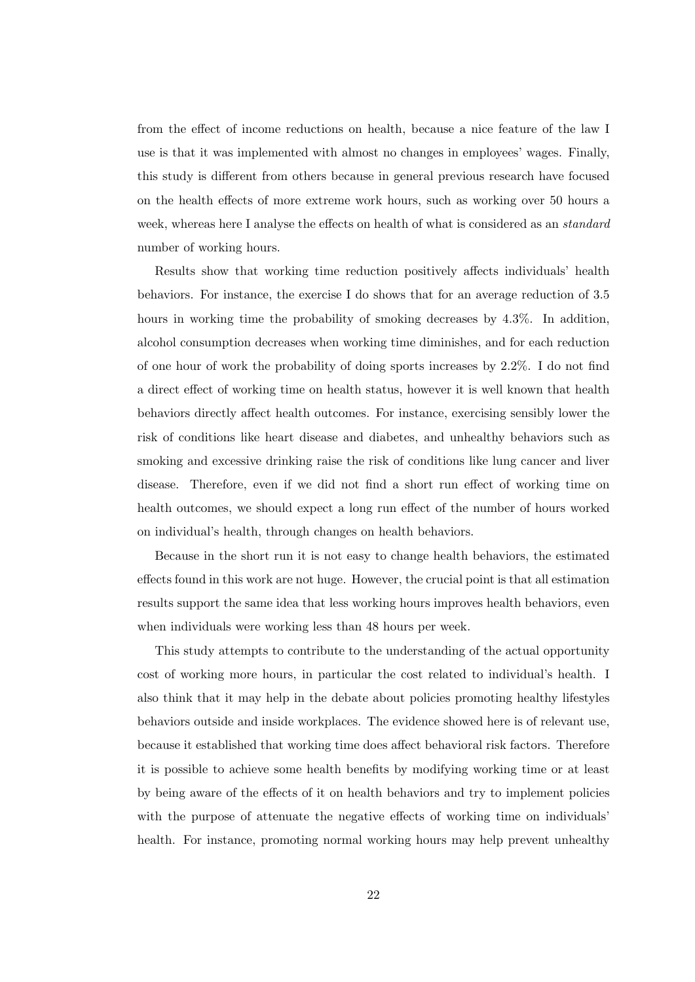from the effect of income reductions on health, because a nice feature of the law I use is that it was implemented with almost no changes in employees' wages. Finally, this study is different from others because in general previous research have focused on the health effects of more extreme work hours, such as working over 50 hours a week, whereas here I analyse the effects on health of what is considered as an *standard* number of working hours.

Results show that working time reduction positively affects individuals' health behaviors. For instance, the exercise I do shows that for an average reduction of 3.5 hours in working time the probability of smoking decreases by 4.3%. In addition, alcohol consumption decreases when working time diminishes, and for each reduction of one hour of work the probability of doing sports increases by 2.2%. I do not find a direct effect of working time on health status, however it is well known that health behaviors directly affect health outcomes. For instance, exercising sensibly lower the risk of conditions like heart disease and diabetes, and unhealthy behaviors such as smoking and excessive drinking raise the risk of conditions like lung cancer and liver disease. Therefore, even if we did not find a short run effect of working time on health outcomes, we should expect a long run effect of the number of hours worked on individual's health, through changes on health behaviors.

Because in the short run it is not easy to change health behaviors, the estimated effects found in this work are not huge. However, the crucial point is that all estimation results support the same idea that less working hours improves health behaviors, even when individuals were working less than 48 hours per week.

This study attempts to contribute to the understanding of the actual opportunity cost of working more hours, in particular the cost related to individual's health. I also think that it may help in the debate about policies promoting healthy lifestyles behaviors outside and inside workplaces. The evidence showed here is of relevant use, because it established that working time does affect behavioral risk factors. Therefore it is possible to achieve some health benefits by modifying working time or at least by being aware of the effects of it on health behaviors and try to implement policies with the purpose of attenuate the negative effects of working time on individuals' health. For instance, promoting normal working hours may help prevent unhealthy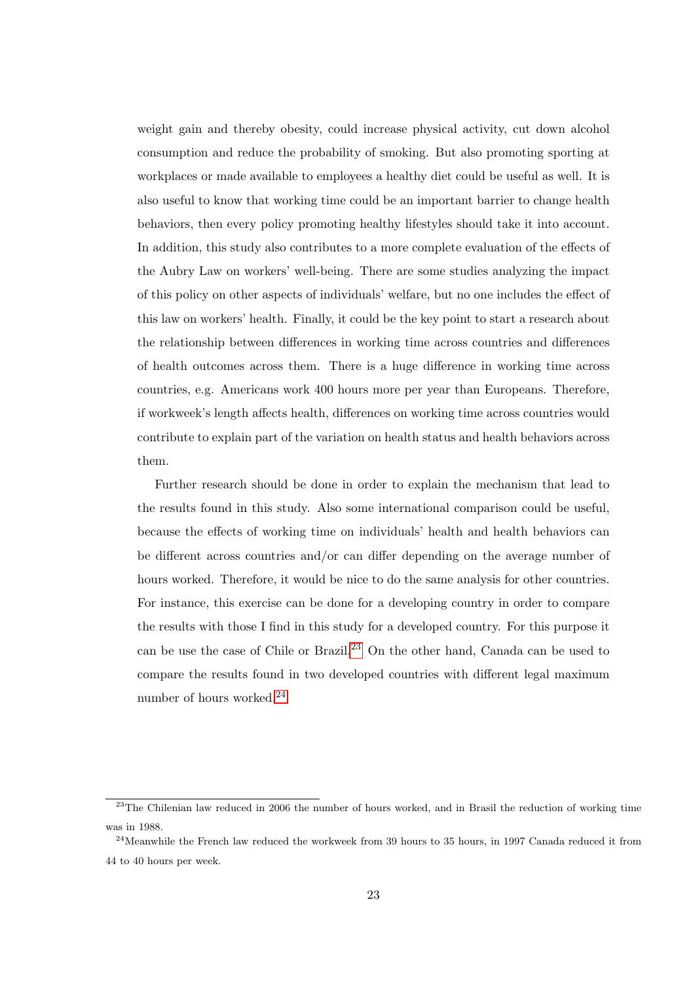weight gain and thereby obesity, could increase physical activity, cut down alcohol consumption and reduce the probability of smoking. But also promoting sporting at workplaces or made available to employees a healthy diet could be useful as well. It is also useful to know that working time could be an important barrier to change health behaviors, then every policy promoting healthy lifestyles should take it into account. In addition, this study also contributes to a more complete evaluation of the effects of the Aubry Law on workers' well-being. There are some studies analyzing the impact of this policy on other aspects of individuals' welfare, but no one includes the effect of this law on workers' health. Finally, it could be the key point to start a research about the relationship between differences in working time across countries and differences of health outcomes across them. There is a huge difference in working time across countries, e.g. Americans work 400 hours more per year than Europeans. Therefore, if workweek's length affects health, differences on working time across countries would contribute to explain part of the variation on health status and health behaviors across them.

Further research should be done in order to explain the mechanism that lead to the results found in this study. Also some international comparison could be useful, because the effects of working time on individuals' health and health behaviors can be different across countries and/or can differ depending on the average number of hours worked. Therefore, it would be nice to do the same analysis for other countries. For instance, this exercise can be done for a developing country in order to compare the results with those I find in this study for a developed country. For this purpose it can be use the case of Chile or Brazil.[23](#page-22-0) On the other hand, Canada can be used to compare the results found in two developed countries with different legal maximum number of hours worked.[24](#page-22-1)

<span id="page-22-0"></span><sup>&</sup>lt;sup>23</sup>The Chilenian law reduced in 2006 the number of hours worked, and in Brasil the reduction of working time was in 1988.

<span id="page-22-1"></span><sup>&</sup>lt;sup>24</sup>Meanwhile the French law reduced the workweek from 39 hours to 35 hours, in 1997 Canada reduced it from 44 to 40 hours per week.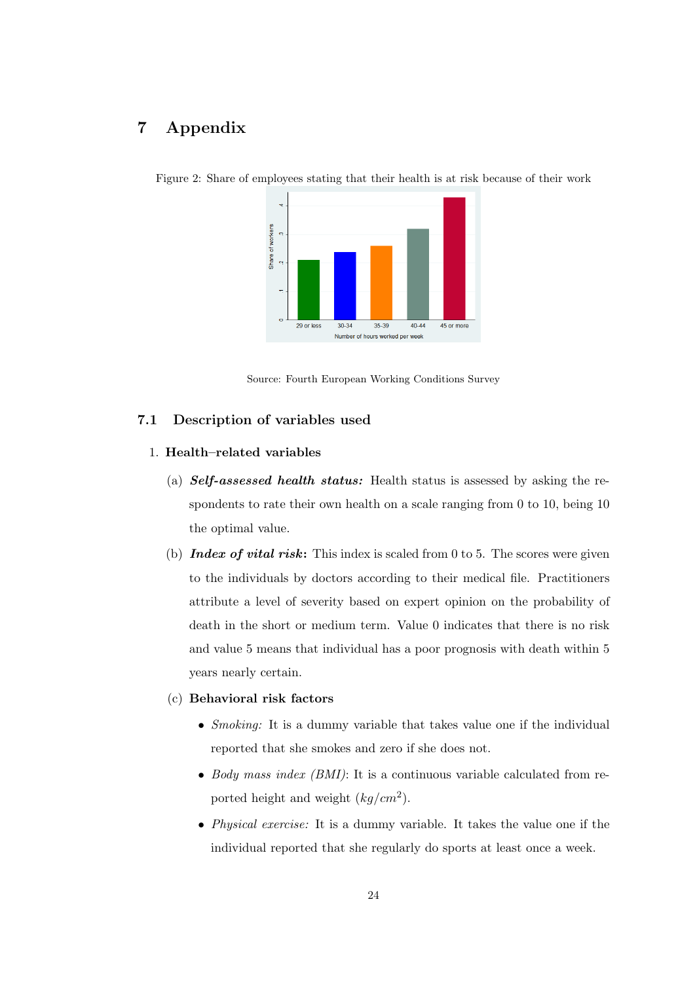# 7 Appendix



<span id="page-23-0"></span>Figure 2: Share of employees stating that their health is at risk because of their work

Source: Fourth European Working Conditions Survey

#### <span id="page-23-1"></span>7.1 Description of variables used

## 1. Health–related variables

- (a)  $Self-assessed$  *health status:* Health status is assessed by asking the respondents to rate their own health on a scale ranging from 0 to 10, being 10 the optimal value.
- (b) Index of vital risk: This index is scaled from 0 to 5. The scores were given to the individuals by doctors according to their medical file. Practitioners attribute a level of severity based on expert opinion on the probability of death in the short or medium term. Value 0 indicates that there is no risk and value 5 means that individual has a poor prognosis with death within 5 years nearly certain.

#### (c) Behavioral risk factors

- *Smoking*: It is a dummy variable that takes value one if the individual reported that she smokes and zero if she does not.
- Body mass index  $(BMI)$ : It is a continuous variable calculated from reported height and weight  $(kg/cm^2)$ .
- *Physical exercise:* It is a dummy variable. It takes the value one if the individual reported that she regularly do sports at least once a week.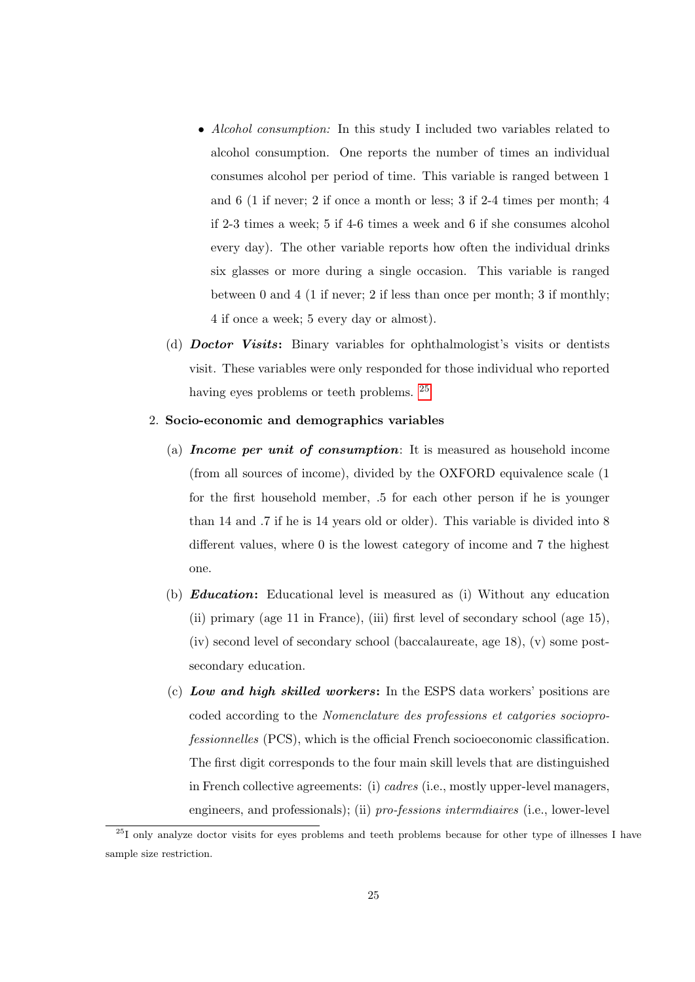- Alcohol consumption: In this study I included two variables related to alcohol consumption. One reports the number of times an individual consumes alcohol per period of time. This variable is ranged between 1 and 6 (1 if never; 2 if once a month or less; 3 if 2-4 times per month; 4 if 2-3 times a week; 5 if 4-6 times a week and 6 if she consumes alcohol every day). The other variable reports how often the individual drinks six glasses or more during a single occasion. This variable is ranged between 0 and 4 (1 if never; 2 if less than once per month; 3 if monthly; 4 if once a week; 5 every day or almost).
- (d) Doctor Visits: Binary variables for ophthalmologist's visits or dentists visit. These variables were only responded for those individual who reported having eyes problems or teeth problems. <sup>[25](#page-24-0)</sup>

#### 2. Socio-economic and demographics variables

- (a) Income per unit of consumption: It is measured as household income (from all sources of income), divided by the OXFORD equivalence scale (1 for the first household member, .5 for each other person if he is younger than 14 and .7 if he is 14 years old or older). This variable is divided into 8 different values, where 0 is the lowest category of income and 7 the highest one.
- (b) Education: Educational level is measured as (i) Without any education (ii) primary (age 11 in France), (iii) first level of secondary school (age 15), (iv) second level of secondary school (baccalaureate, age 18), (v) some postsecondary education.
- (c) Low and high skilled workers: In the ESPS data workers' positions are coded according to the Nomenclature des professions et catgories socioprofessionnelles (PCS), which is the official French socioeconomic classification. The first digit corresponds to the four main skill levels that are distinguished in French collective agreements: (i) cadres (i.e., mostly upper-level managers, engineers, and professionals); (ii) pro-fessions intermdiaires (i.e., lower-level

<span id="page-24-0"></span><sup>&</sup>lt;sup>25</sup>I only analyze doctor visits for eyes problems and teeth problems because for other type of illnesses I have sample size restriction.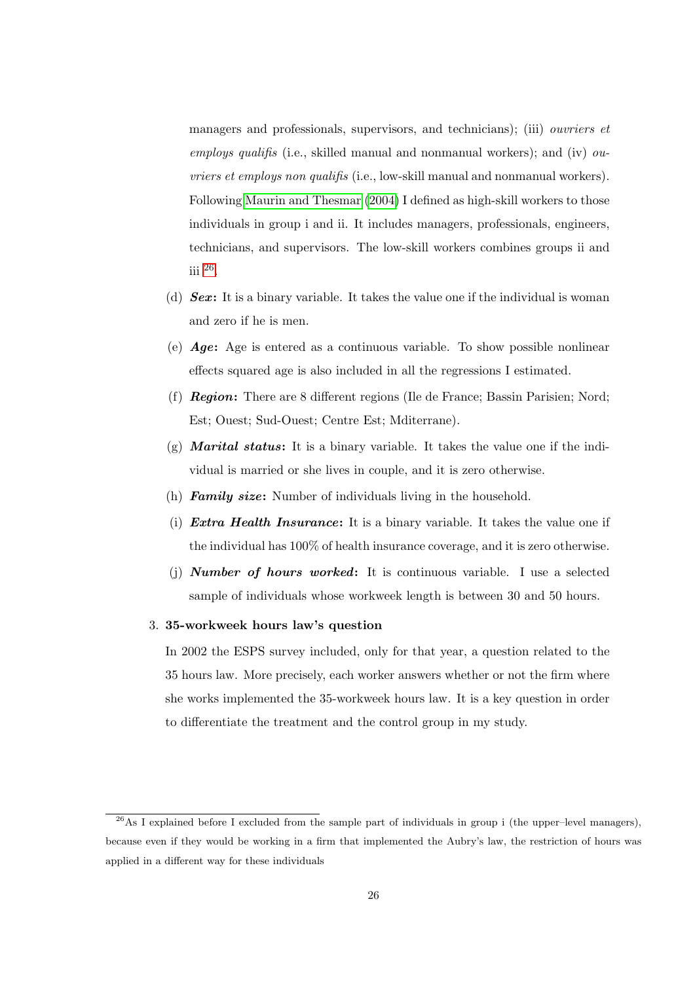managers and professionals, supervisors, and technicians); (iii) *ouvriers et* employs qualifis (i.e., skilled manual and nonmanual workers); and (iv)  $ou$ vriers et employs non qualifis (i.e., low-skill manual and nonmanual workers). Following [Maurin and Thesmar](#page-31-9) [\(2004\)](#page-31-9) I defined as high-skill workers to those individuals in group i and ii. It includes managers, professionals, engineers, technicians, and supervisors. The low-skill workers combines groups ii and iii [26](#page-25-0) .

- (d)  $Sex:$  It is a binary variable. It takes the value one if the individual is woman and zero if he is men.
- (e) Age: Age is entered as a continuous variable. To show possible nonlinear effects squared age is also included in all the regressions I estimated.
- (f) Region: There are 8 different regions (Ile de France; Bassin Parisien; Nord; Est; Ouest; Sud-Ouest; Centre Est; Mditerrane).
- (g) **Marital status:** It is a binary variable. It takes the value one if the individual is married or she lives in couple, and it is zero otherwise.
- (h) **Family size:** Number of individuals living in the household.
- (i) Extra Health Insurance: It is a binary variable. It takes the value one if the individual has 100% of health insurance coverage, and it is zero otherwise.
- (i) **Number of hours worked:** It is continuous variable. I use a selected sample of individuals whose workweek length is between 30 and 50 hours.

#### 3. 35-workweek hours law's question

In 2002 the ESPS survey included, only for that year, a question related to the 35 hours law. More precisely, each worker answers whether or not the firm where she works implemented the 35-workweek hours law. It is a key question in order to differentiate the treatment and the control group in my study.

<span id="page-25-0"></span> $^{26}$ As I explained before I excluded from the sample part of individuals in group i (the upper–level managers), because even if they would be working in a firm that implemented the Aubry's law, the restriction of hours was applied in a different way for these individuals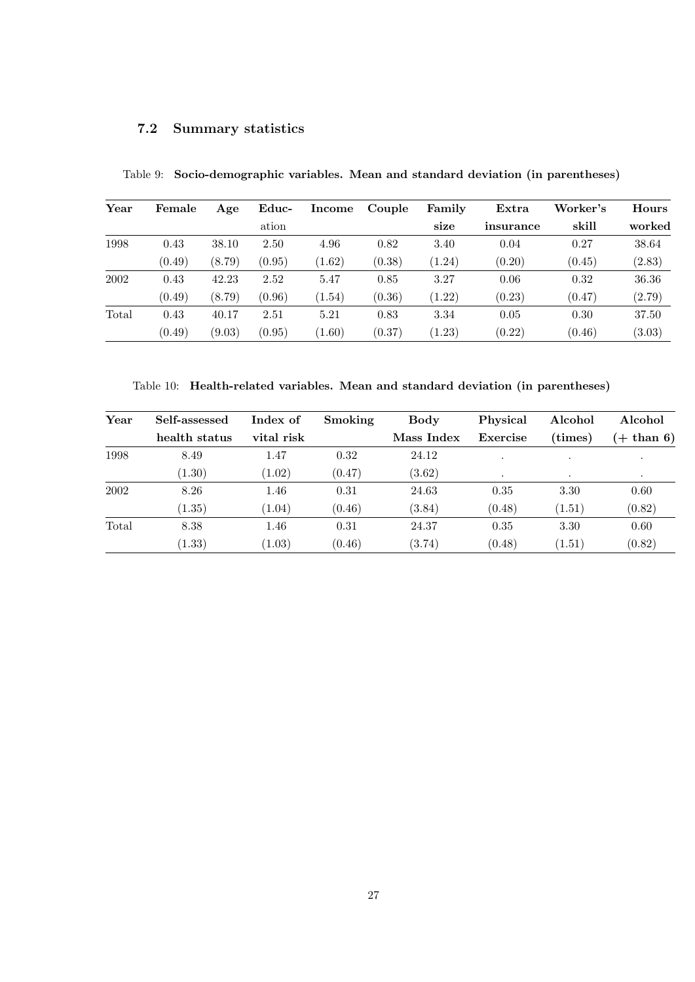# <span id="page-26-0"></span>7.2 Summary statistics

| Year  | Female | Age    | Educ-  | Income | Couple | Family | Extra     | Worker's | Hours  |
|-------|--------|--------|--------|--------|--------|--------|-----------|----------|--------|
|       |        |        | ation  |        |        | size   | insurance | skill    | worked |
| 1998  | 0.43   | 38.10  | 2.50   | 4.96   | 0.82   | 3.40   | 0.04      | 0.27     | 38.64  |
|       | (0.49) | (8.79) | (0.95) | (1.62) | (0.38) | (1.24) | (0.20)    | (0.45)   | (2.83) |
| 2002  | 0.43   | 42.23  | 2.52   | 5.47   | 0.85   | 3.27   | 0.06      | 0.32     | 36.36  |
|       | (0.49) | (8.79) | (0.96) | (1.54) | (0.36) | (1.22) | (0.23)    | (0.47)   | (2.79) |
| Total | 0.43   | 40.17  | 2.51   | 5.21   | 0.83   | 3.34   | 0.05      | 0.30     | 37.50  |
|       | (0.49) | (9.03) | (0.95) | (1.60) | (0.37) | (1.23) | (0.22)    | (0.46)   | (3.03) |

<span id="page-26-1"></span>Table 9: Socio-demographic variables. Mean and standard deviation (in parentheses)

<span id="page-26-2"></span>Table 10: Health-related variables. Mean and standard deviation (in parentheses)

| Year  | Self-assessed | Index of   | Smoking | <b>Body</b> | Physical | Alcohol          | Alcohol      |
|-------|---------------|------------|---------|-------------|----------|------------------|--------------|
|       | health status | vital risk |         | Mass Index  | Exercise | $(\text{times})$ | $(+$ than 6) |
| 1998  | 8.49          | 1.47       | 0.32    | 24.12       |          | $\cdot$          | $\cdot$      |
|       | (1.30)        | (1.02)     | (0.47)  | (3.62)      | $\cdot$  | $\cdot$          | $\cdot$      |
| 2002  | 8.26          | 1.46       | 0.31    | 24.63       | 0.35     | 3.30             | 0.60         |
|       | (1.35)        | (1.04)     | (0.46)  | (3.84)      | (0.48)   | (1.51)           | (0.82)       |
| Total | 8.38          | 1.46       | 0.31    | 24.37       | 0.35     | 3.30             | 0.60         |
|       | (1.33)        | (1.03)     | (0.46)  | (3.74)      | (0.48)   | (1.51)           | (0.82)       |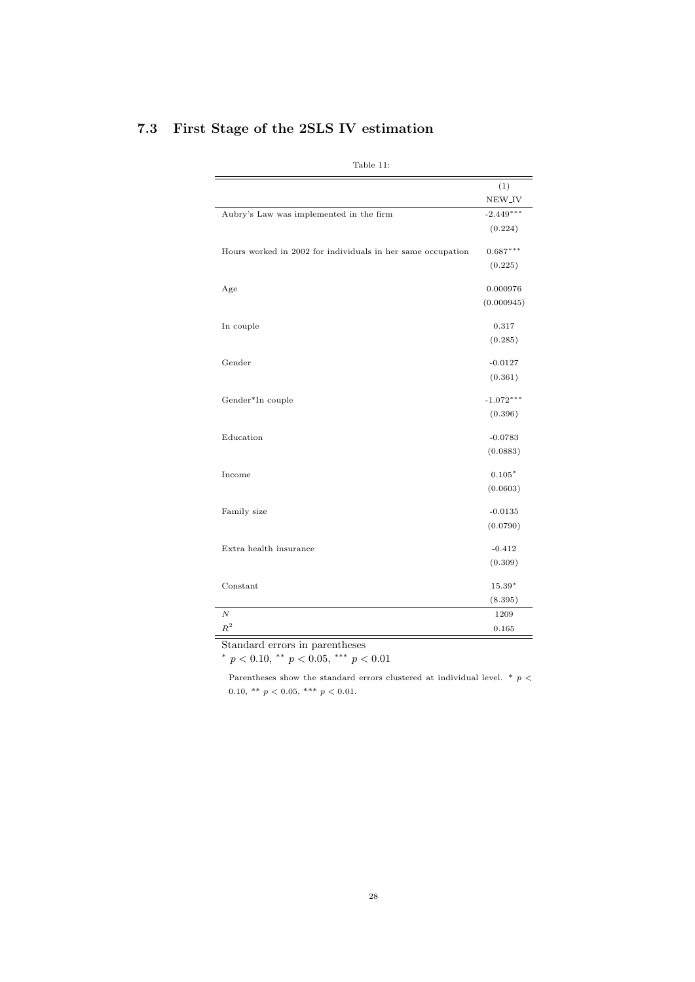<span id="page-27-0"></span>

| (1)<br>NEW <sub>JV</sub><br>$-2.449***$<br>Aubry's Law was implemented in the firm<br>(0.224)<br>Hours worked in 2002 for individuals in her same occupation<br>$0.687***$<br>(0.225)<br>0.000976<br>Age<br>(0.000945)<br>0.317<br>In couple<br>(0.285)<br>Gender<br>$-0.0127$<br>(0.361)<br>$-1.072***$<br>Gender*In couple<br>(0.396)<br>Education<br>$-0.0783$<br>(0.0883)<br>$0.105*$<br>Income<br>(0.0603)<br>Family size<br>$-0.0135$<br>(0.0790)<br>Extra health insurance<br>$-0.412$<br>(0.309)<br>Constant<br>$15.39*$<br>(8.395)<br>$\overline{N}$<br>1209<br>$\mathbb{R}^2$<br>0.165 | Table 11: |  |
|--------------------------------------------------------------------------------------------------------------------------------------------------------------------------------------------------------------------------------------------------------------------------------------------------------------------------------------------------------------------------------------------------------------------------------------------------------------------------------------------------------------------------------------------------------------------------------------------------|-----------|--|
|                                                                                                                                                                                                                                                                                                                                                                                                                                                                                                                                                                                                  |           |  |
|                                                                                                                                                                                                                                                                                                                                                                                                                                                                                                                                                                                                  |           |  |
|                                                                                                                                                                                                                                                                                                                                                                                                                                                                                                                                                                                                  |           |  |
|                                                                                                                                                                                                                                                                                                                                                                                                                                                                                                                                                                                                  |           |  |
|                                                                                                                                                                                                                                                                                                                                                                                                                                                                                                                                                                                                  |           |  |
|                                                                                                                                                                                                                                                                                                                                                                                                                                                                                                                                                                                                  |           |  |
|                                                                                                                                                                                                                                                                                                                                                                                                                                                                                                                                                                                                  |           |  |
|                                                                                                                                                                                                                                                                                                                                                                                                                                                                                                                                                                                                  |           |  |
|                                                                                                                                                                                                                                                                                                                                                                                                                                                                                                                                                                                                  |           |  |
|                                                                                                                                                                                                                                                                                                                                                                                                                                                                                                                                                                                                  |           |  |
|                                                                                                                                                                                                                                                                                                                                                                                                                                                                                                                                                                                                  |           |  |
|                                                                                                                                                                                                                                                                                                                                                                                                                                                                                                                                                                                                  |           |  |
|                                                                                                                                                                                                                                                                                                                                                                                                                                                                                                                                                                                                  |           |  |
|                                                                                                                                                                                                                                                                                                                                                                                                                                                                                                                                                                                                  |           |  |
|                                                                                                                                                                                                                                                                                                                                                                                                                                                                                                                                                                                                  |           |  |
|                                                                                                                                                                                                                                                                                                                                                                                                                                                                                                                                                                                                  |           |  |
|                                                                                                                                                                                                                                                                                                                                                                                                                                                                                                                                                                                                  |           |  |
|                                                                                                                                                                                                                                                                                                                                                                                                                                                                                                                                                                                                  |           |  |
|                                                                                                                                                                                                                                                                                                                                                                                                                                                                                                                                                                                                  |           |  |
|                                                                                                                                                                                                                                                                                                                                                                                                                                                                                                                                                                                                  |           |  |
|                                                                                                                                                                                                                                                                                                                                                                                                                                                                                                                                                                                                  |           |  |
|                                                                                                                                                                                                                                                                                                                                                                                                                                                                                                                                                                                                  |           |  |
|                                                                                                                                                                                                                                                                                                                                                                                                                                                                                                                                                                                                  |           |  |
|                                                                                                                                                                                                                                                                                                                                                                                                                                                                                                                                                                                                  |           |  |
|                                                                                                                                                                                                                                                                                                                                                                                                                                                                                                                                                                                                  |           |  |
|                                                                                                                                                                                                                                                                                                                                                                                                                                                                                                                                                                                                  |           |  |

# 7.3 First Stage of the 2SLS IV estimation

Standard errors in parentheses

\*  $p < 0.10,$  \*\*  $p < 0.05,$  \*\*\*  $p < 0.01$ 

Parentheses show the standard errors clustered at individual level. \*  $p$   $<$ 0.10, \*\* $p < 0.05,$ \*\*\* $p < 0.01.$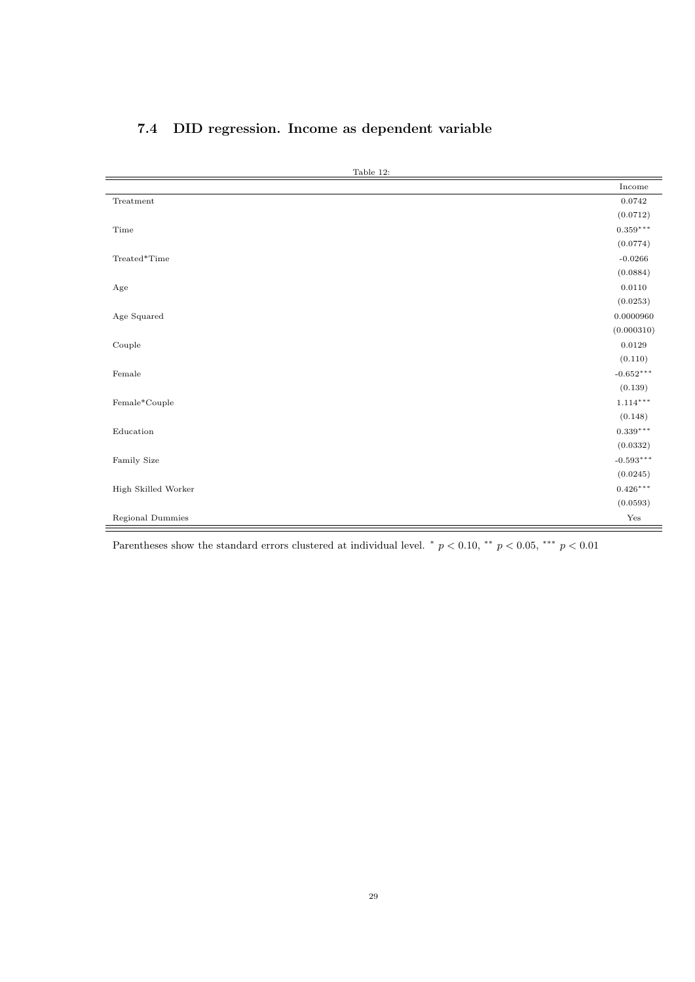<span id="page-28-0"></span>

| 7.4 DID regression. Income as dependent variable |  |
|--------------------------------------------------|--|
|--------------------------------------------------|--|

| Table 12:           |                        |
|---------------------|------------------------|
|                     | Income                 |
| Treatment           | 0.0742                 |
|                     | (0.0712)               |
| Time                | $0.359^{\ast\ast\ast}$ |
|                     | (0.0774)               |
| Treated*Time        | $-0.0266$              |
|                     | (0.0884)               |
| Age                 | $0.0110\,$             |
|                     | (0.0253)               |
| Age Squared         | 0.0000960              |
|                     | (0.000310)             |
| Couple              | 0.0129                 |
|                     | (0.110)                |
| Female              | $-0.652***$            |
|                     | (0.139)                |
| Female*Couple       | $1.114***$             |
|                     | (0.148)                |
| Education           | $0.339***$             |
|                     | (0.0332)               |
| Family Size         | $-0.593***$            |
|                     | (0.0245)               |
| High Skilled Worker | $0.426***$             |
|                     | (0.0593)               |
| Regional Dummies    | Yes                    |

Parentheses show the standard errors clustered at individual level. \*  $p < 0.10$ , \*\*  $p < 0.05$ , \*\*\*  $p < 0.01$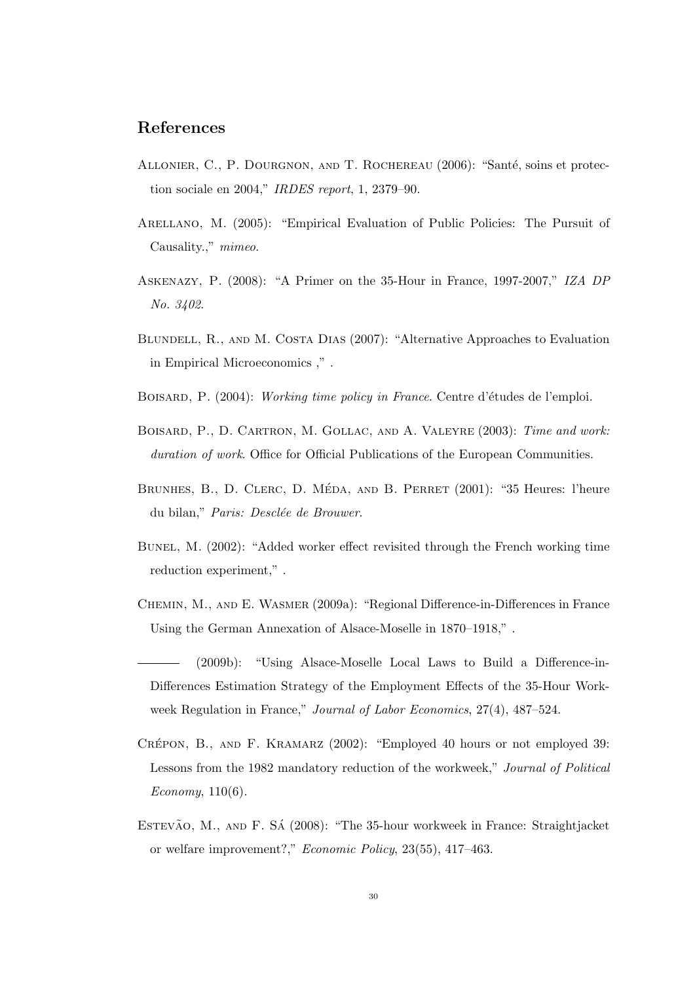## References

- ALLONIER, C., P. DOURGNON, AND T. ROCHEREAU (2006): "Santé, soins et protection sociale en 2004," IRDES report, 1, 2379–90.
- Arellano, M. (2005): "Empirical Evaluation of Public Policies: The Pursuit of Causality.," mimeo.
- <span id="page-29-1"></span>Askenazy, P. (2008): "A Primer on the 35-Hour in France, 1997-2007," IZA DP No. 3402.
- BLUNDELL, R., AND M. COSTA DIAS (2007): "Alternative Approaches to Evaluation in Empirical Microeconomics ," .
- <span id="page-29-6"></span>BOISARD, P. (2004): Working time policy in France. Centre d'études de l'emploi.
- Boisard, P., D. Cartron, M. Gollac, and A. Valeyre (2003): Time and work: duration of work. Office for Official Publications of the European Communities.
- <span id="page-29-5"></span>BRUNHES, B., D. CLERC, D. MÉDA, AND B. PERRET (2001): "35 Heures: l'heure du bilan," Paris: Desclée de Brouwer.
- <span id="page-29-2"></span>Bunel, M. (2002): "Added worker effect revisited through the French working time reduction experiment," .
- Chemin, M., and E. Wasmer (2009a): "Regional Difference-in-Differences in France Using the German Annexation of Alsace-Moselle in 1870–1918," .
- <span id="page-29-3"></span>(2009b): "Using Alsace-Moselle Local Laws to Build a Difference-in-Differences Estimation Strategy of the Employment Effects of the 35-Hour Workweek Regulation in France," Journal of Labor Economics, 27(4), 487–524.
- <span id="page-29-4"></span>CRÉPON, B., AND F. KRAMARZ (2002): "Employed 40 hours or not employed 39: Lessons from the 1982 mandatory reduction of the workweek," Journal of Political Economy, 110(6).
- <span id="page-29-0"></span>ESTEVÃO, M., AND F. SÁ (2008): "The 35-hour workweek in France: Straightjacket or welfare improvement?," Economic Policy, 23(55), 417–463.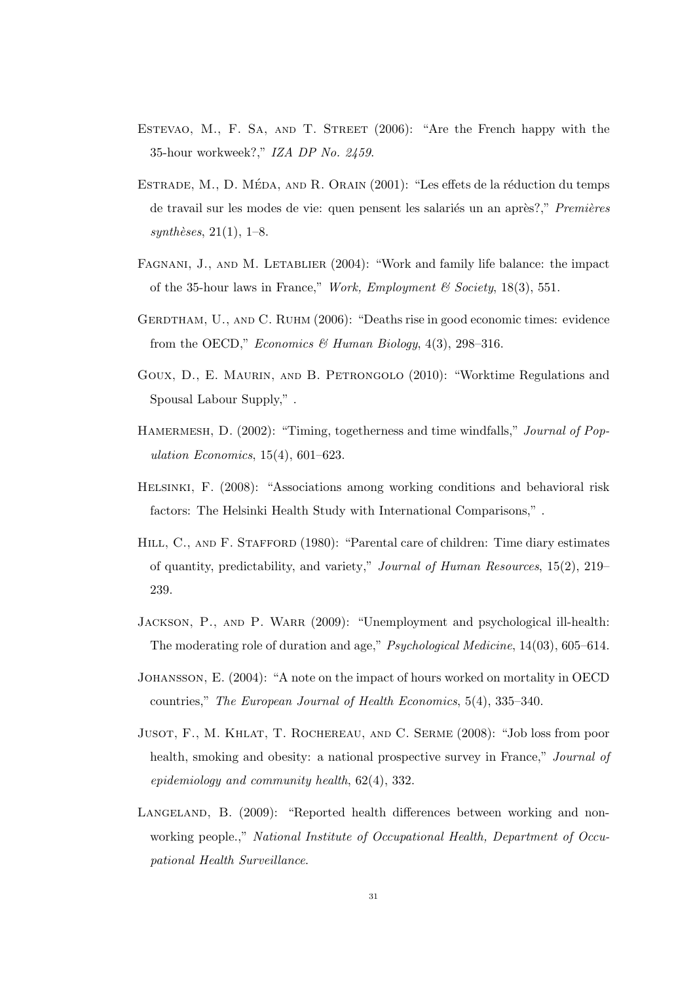- <span id="page-30-1"></span>ESTEVAO, M., F. SA, AND T. STREET (2006): "Are the French happy with the 35-hour workweek?," IZA DP No. 2459.
- <span id="page-30-5"></span>ESTRADE, M., D. MÉDA, AND R. ORAIN (2001): "Les effets de la réduction du temps de travail sur les modes de vie: quen pensent les salariés un an après?," Premières  $synth\`eses, 21(1), 1–8.$
- <span id="page-30-4"></span>FAGNANI, J., AND M. LETABLIER (2004): "Work and family life balance: the impact of the 35-hour laws in France," Work, Employment & Society, 18(3), 551.
- <span id="page-30-2"></span>GERDTHAM, U., AND C. RUHM (2006): "Deaths rise in good economic times: evidence from the OECD," Economics & Human Biology,  $4(3)$ , 298-316.
- Goux, D., E. Maurin, and B. Petrongolo (2010): "Worktime Regulations and Spousal Labour Supply," .
- HAMERMESH, D. (2002): "Timing, togetherness and time windfalls," *Journal of Pop*ulation Economics, 15(4), 601–623.
- Helsinki, F. (2008): "Associations among working conditions and behavioral risk factors: The Helsinki Health Study with International Comparisons," .
- HILL, C., AND F. STAFFORD (1980): "Parental care of children: Time diary estimates of quantity, predictability, and variety," Journal of Human Resources, 15(2), 219– 239.
- <span id="page-30-3"></span>Jackson, P., and P. Warr (2009): "Unemployment and psychological ill-health: The moderating role of duration and age," Psychological Medicine, 14(03), 605–614.
- Johansson, E. (2004): "A note on the impact of hours worked on mortality in OECD countries," The European Journal of Health Economics, 5(4), 335–340.
- Jusot, F., M. Khlat, T. Rochereau, and C. Serme (2008): "Job loss from poor health, smoking and obesity: a national prospective survey in France," *Journal of* epidemiology and community health, 62(4), 332.
- <span id="page-30-0"></span>LANGELAND, B. (2009): "Reported health differences between working and nonworking people.," National Institute of Occupational Health, Department of Occupational Health Surveillance.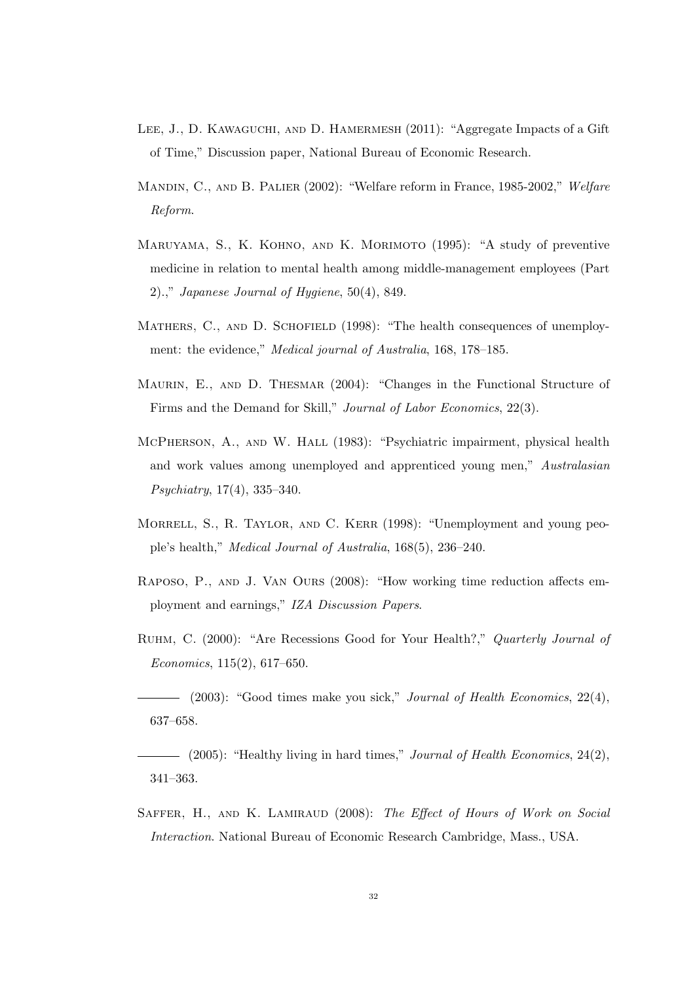- LEE, J., D. KAWAGUCHI, AND D. HAMERMESH (2011): "Aggregate Impacts of a Gift of Time," Discussion paper, National Bureau of Economic Research.
- Mandin, C., and B. Palier (2002): "Welfare reform in France, 1985-2002," Welfare Reform.
- <span id="page-31-2"></span>Maruyama, S., K. Kohno, and K. Morimoto (1995): "A study of preventive medicine in relation to mental health among middle-management employees (Part 2).," Japanese Journal of Hygiene,  $50(4)$ , 849.
- <span id="page-31-5"></span>MATHERS, C., AND D. SCHOFIELD (1998): "The health consequences of unemployment: the evidence," Medical journal of Australia, 168, 178–185.
- <span id="page-31-9"></span>MAURIN, E., AND D. THESMAR (2004): "Changes in the Functional Structure of Firms and the Demand for Skill," Journal of Labor Economics, 22(3).
- <span id="page-31-4"></span>McPherson, A., and W. Hall (1983): "Psychiatric impairment, physical health and work values among unemployed and apprenticed young men," Australasian Psychiatry, 17(4), 335–340.
- <span id="page-31-6"></span>Morrell, S., R. Taylor, and C. Kerr (1998): "Unemployment and young people's health," Medical Journal of Australia, 168(5), 236–240.
- <span id="page-31-8"></span>Raposo, P., and J. Van Ours (2008): "How working time reduction affects employment and earnings," IZA Discussion Papers.
- <span id="page-31-0"></span>Ruhm, C. (2000): "Are Recessions Good for Your Health?," Quarterly Journal of Economics, 115(2), 617–650.
- <span id="page-31-3"></span> $-$  (2003): "Good times make you sick," *Journal of Health Economics*, 22(4), 637–658.
- <span id="page-31-1"></span> $\hspace{1.5cm}$  (2005): "Healthy living in hard times," Journal of Health Economics, 24(2), 341–363.
- <span id="page-31-7"></span>SAFFER, H., AND K. LAMIRAUD (2008): The Effect of Hours of Work on Social Interaction. National Bureau of Economic Research Cambridge, Mass., USA.